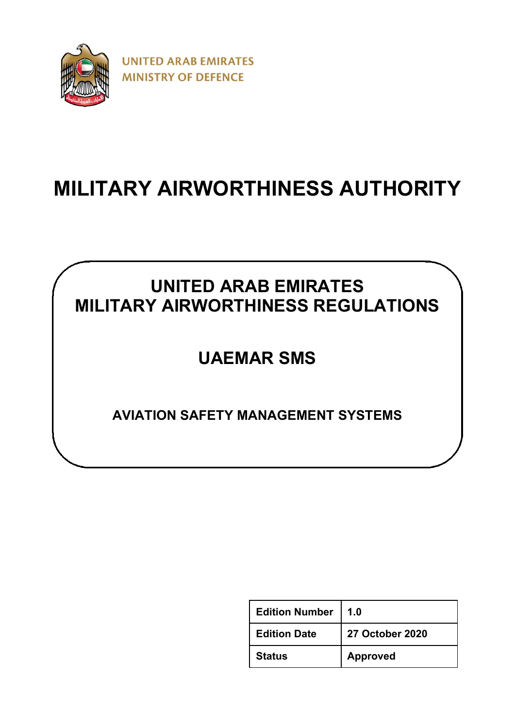

# **MILITARY AIRWORTHINESS AUTHORITY**

# **UNITED ARAB EMIRATES MILITARY AIRWORTHINESS REGULATIONS**

# **UAEMAR SMS**

**AVIATION SAFETY MANAGEMENT SYSTEMS**

| <b>Edition Number</b> | 1.0                    |
|-----------------------|------------------------|
| <b>Edition Date</b>   | <b>27 October 2020</b> |
| <b>Status</b>         | <b>Approved</b>        |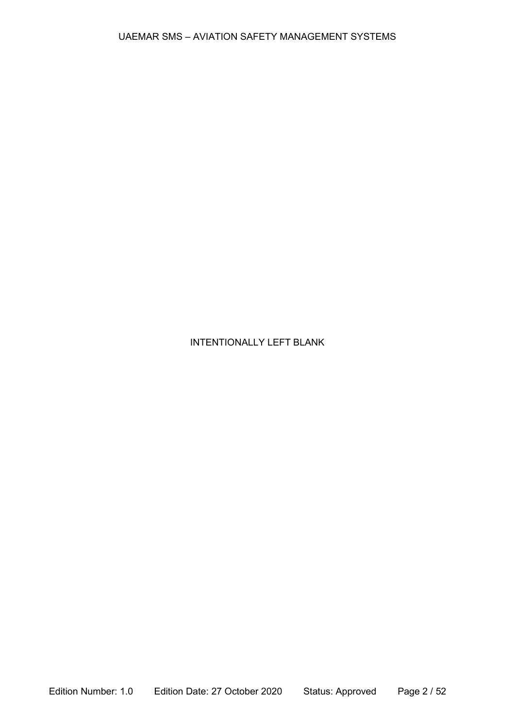### INTENTIONALLY LEFT BLANK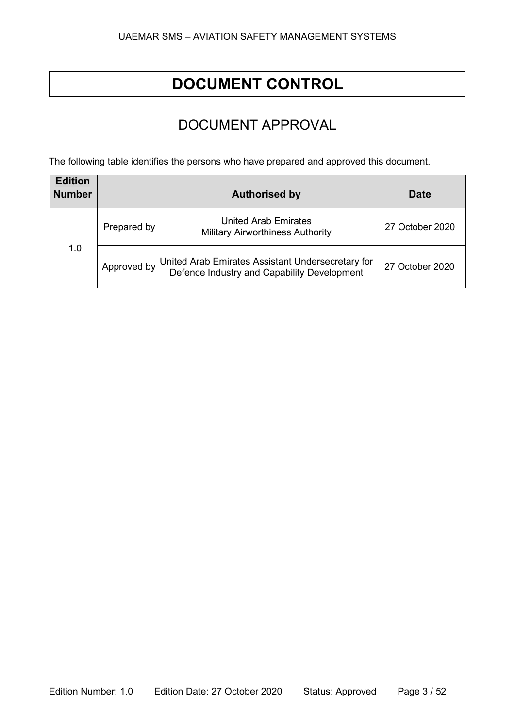# **DOCUMENT CONTROL**

## DOCUMENT APPROVAL

The following table identifies the persons who have prepared and approved this document.

| <b>Edition</b><br><b>Number</b> |             | <b>Authorised by</b>                                                                             | Date            |
|---------------------------------|-------------|--------------------------------------------------------------------------------------------------|-----------------|
|                                 | Prepared by | <b>United Arab Emirates</b><br><b>Military Airworthiness Authority</b>                           | 27 October 2020 |
| 1.0                             | Approved by | United Arab Emirates Assistant Undersecretary for<br>Defence Industry and Capability Development | 27 October 2020 |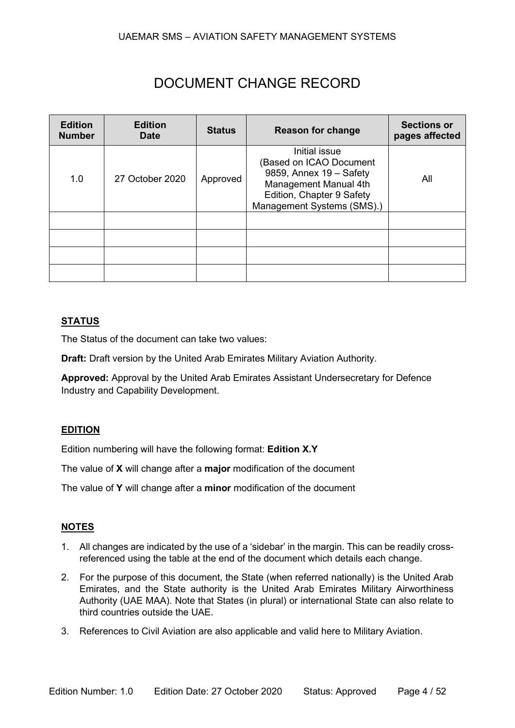## DOCUMENT CHANGE RECORD

| <b>Edition</b><br><b>Number</b> | <b>Edition</b><br><b>Date</b> | <b>Status</b> | <b>Reason for change</b>                                                                                                                                      | <b>Sections or</b><br>pages affected |
|---------------------------------|-------------------------------|---------------|---------------------------------------------------------------------------------------------------------------------------------------------------------------|--------------------------------------|
| 1.0                             | 27 October 2020               | Approved      | Initial issue<br><b>Based on ICAO Document</b><br>9859, Annex 19 - Safety<br>Management Manual 4th<br>Edition, Chapter 9 Safety<br>Management Systems (SMS).) | All                                  |
|                                 |                               |               |                                                                                                                                                               |                                      |
|                                 |                               |               |                                                                                                                                                               |                                      |
|                                 |                               |               |                                                                                                                                                               |                                      |
|                                 |                               |               |                                                                                                                                                               |                                      |

### **STATUS**

The Status of the document can take two values:

**Draft:** Draft version by the United Arab Emirates Military Aviation Authority.

**Approved:** Approval by the United Arab Emirates Assistant Undersecretary for Defence Industry and Capability Development.

#### **EDITION**

Edition numbering will have the following format: **Edition X.Y**

The value of **X** will change after a **major** modification of the document

The value of **Y** will change after a **minor** modification of the document

#### **NOTES**

- 1. All changes are indicated by the use of a 'sidebar' in the margin. This can be readily crossreferenced using the table at the end of the document which details each change.
- 2. For the purpose of this document, the State (when referred nationally) is the United Arab Emirates, and the State authority is the United Arab Emirates Military Airworthiness Authority (UAE MAA). Note that States (in plural) or international State can also relate to third countries outside the UAE.
- 3. References to Civil Aviation are also applicable and valid here to Military Aviation.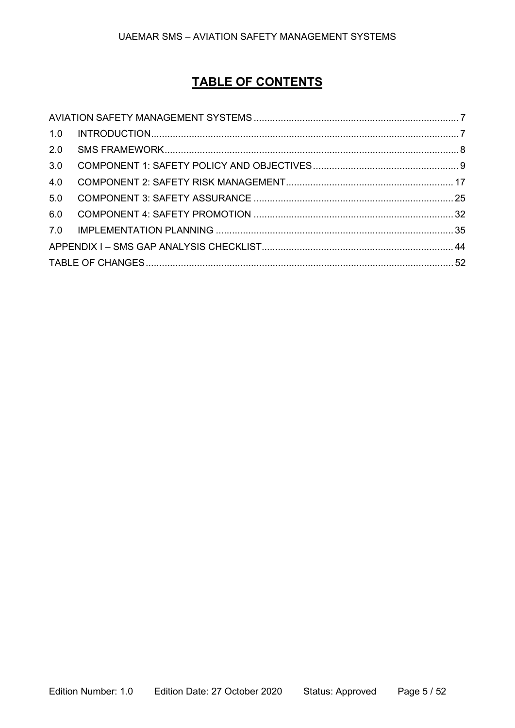## **TABLE OF CONTENTS**

| 2.0 |  |
|-----|--|
| 3.0 |  |
| 4.0 |  |
| 5.0 |  |
| 6.0 |  |
|     |  |
|     |  |
|     |  |
|     |  |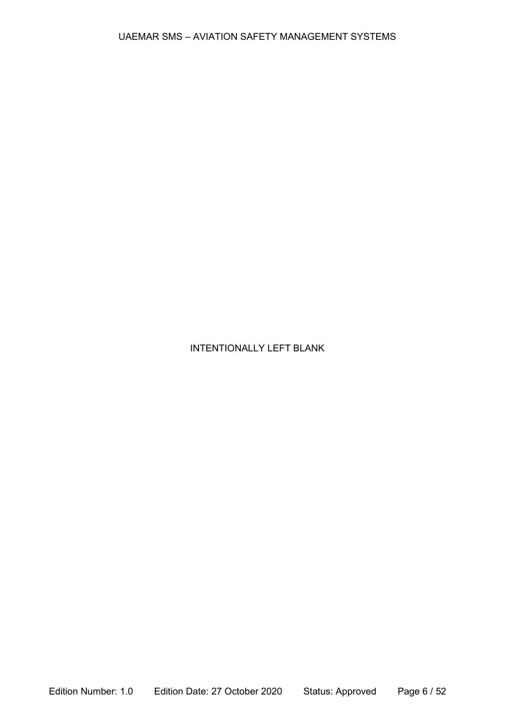#### INTENTIONALLY LEFT BLANK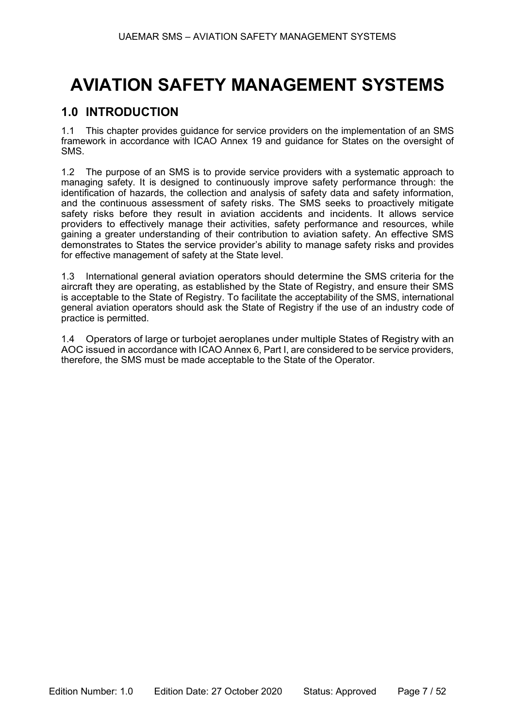# <span id="page-6-0"></span>**AVIATION SAFETY MANAGEMENT SYSTEMS**

### <span id="page-6-1"></span>**1.0 INTRODUCTION**

1.1 This chapter provides guidance for service providers on the implementation of an SMS framework in accordance with ICAO Annex 19 and guidance for States on the oversight of SMS.

1.2 The purpose of an SMS is to provide service providers with a systematic approach to managing safety. It is designed to continuously improve safety performance through: the identification of hazards, the collection and analysis of safety data and safety information, and the continuous assessment of safety risks. The SMS seeks to proactively mitigate safety risks before they result in aviation accidents and incidents. It allows service providers to effectively manage their activities, safety performance and resources, while gaining a greater understanding of their contribution to aviation safety. An effective SMS demonstrates to States the service provider's ability to manage safety risks and provides for effective management of safety at the State level.

1.3 International general aviation operators should determine the SMS criteria for the aircraft they are operating, as established by the State of Registry, and ensure their SMS is acceptable to the State of Registry. To facilitate the acceptability of the SMS, international general aviation operators should ask the State of Registry if the use of an industry code of practice is permitted.

1.4 Operators of large or turbojet aeroplanes under multiple States of Registry with an AOC issued in accordance with ICAO Annex 6, Part I, are considered to be service providers, therefore, the SMS must be made acceptable to the State of the Operator.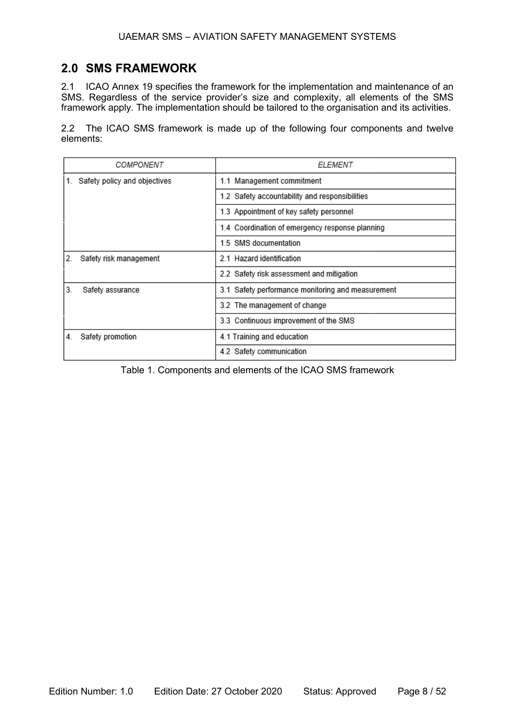## <span id="page-7-0"></span>**2.0 SMS FRAMEWORK**

2.1 ICAO Annex 19 specifies the framework for the implementation and maintenance of an SMS. Regardless of the service provider's size and complexity, all elements of the SMS framework apply. The implementation should be tailored to the organisation and its activities.

2.2 The ICAO SMS framework is made up of the following four components and twelve elements:

| COMPONENT<br><b>ELEMENT</b>  |                                                   |  |  |
|------------------------------|---------------------------------------------------|--|--|
| Safety policy and objectives | 1.1 Management commitment                         |  |  |
|                              | 1.2 Safety accountability and responsibilities    |  |  |
|                              | 1.3 Appointment of key safety personnel           |  |  |
|                              | 1.4 Coordination of emergency response planning   |  |  |
|                              | 1.5 SMS documentation                             |  |  |
| 2.<br>Safety risk management | 2.1 Hazard identification                         |  |  |
|                              | 2.2 Safety risk assessment and mitigation         |  |  |
| 3.<br>Safety assurance       | 3.1 Safety performance monitoring and measurement |  |  |
|                              | 3.2 The management of change                      |  |  |
|                              | 3.3 Continuous improvement of the SMS             |  |  |
| Safety promotion<br>4.       | 4.1 Training and education                        |  |  |
|                              | 4.2 Safety communication                          |  |  |

Table 1. Components and elements of the ICAO SMS framework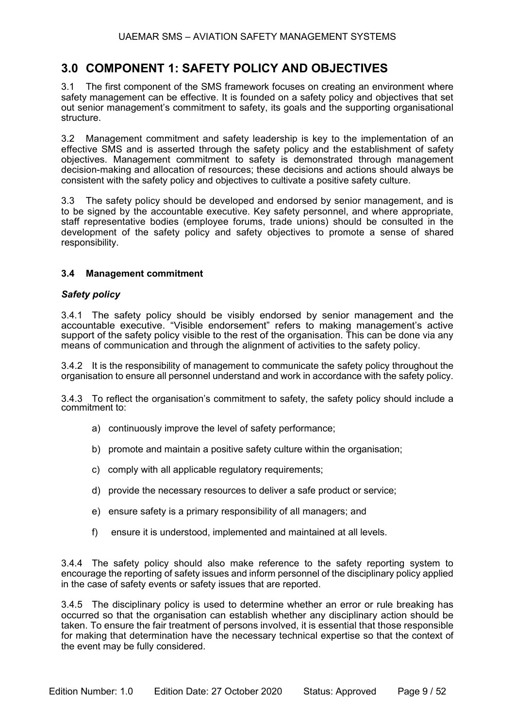### <span id="page-8-0"></span>**3.0 COMPONENT 1: SAFETY POLICY AND OBJECTIVES**

3.1 The first component of the SMS framework focuses on creating an environment where safety management can be effective. It is founded on a safety policy and objectives that set out senior management's commitment to safety, its goals and the supporting organisational structure.

3.2 Management commitment and safety leadership is key to the implementation of an effective SMS and is asserted through the safety policy and the establishment of safety objectives. Management commitment to safety is demonstrated through management decision-making and allocation of resources; these decisions and actions should always be consistent with the safety policy and objectives to cultivate a positive safety culture.

3.3 The safety policy should be developed and endorsed by senior management, and is to be signed by the accountable executive. Key safety personnel, and where appropriate, staff representative bodies (employee forums, trade unions) should be consulted in the development of the safety policy and safety objectives to promote a sense of shared responsibility.

#### **3.4 Management commitment**

#### *Safety policy*

3.4.1 The safety policy should be visibly endorsed by senior management and the accountable executive. "Visible endorsement" refers to making management's active support of the safety policy visible to the rest of the organisation. This can be done via any means of communication and through the alignment of activities to the safety policy.

3.4.2 It is the responsibility of management to communicate the safety policy throughout the organisation to ensure all personnel understand and work in accordance with the safety policy.

3.4.3 To reflect the organisation's commitment to safety, the safety policy should include a commitment to:

- a) continuously improve the level of safety performance;
- b) promote and maintain a positive safety culture within the organisation;
- c) comply with all applicable regulatory requirements;
- d) provide the necessary resources to deliver a safe product or service;
- e) ensure safety is a primary responsibility of all managers; and
- f) ensure it is understood, implemented and maintained at all levels.

3.4.4 The safety policy should also make reference to the safety reporting system to encourage the reporting of safety issues and inform personnel of the disciplinary policy applied in the case of safety events or safety issues that are reported.

3.4.5 The disciplinary policy is used to determine whether an error or rule breaking has occurred so that the organisation can establish whether any disciplinary action should be taken. To ensure the fair treatment of persons involved, it is essential that those responsible for making that determination have the necessary technical expertise so that the context of the event may be fully considered.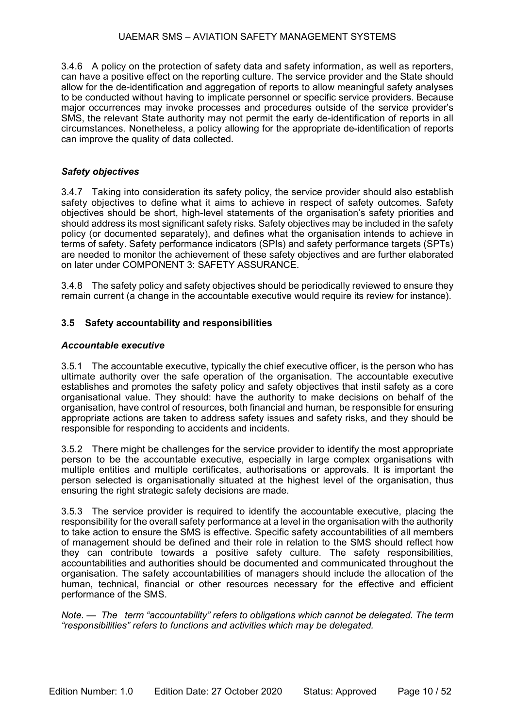3.4.6 A policy on the protection of safety data and safety information, as well as reporters, can have a positive effect on the reporting culture. The service provider and the State should allow for the de-identification and aggregation of reports to allow meaningful safety analyses to be conducted without having to implicate personnel or specific service providers. Because major occurrences may invoke processes and procedures outside of the service provider's SMS, the relevant State authority may not permit the early de-identification of reports in all circumstances. Nonetheless, a policy allowing for the appropriate de-identification of reports can improve the quality of data collected.

#### *Safety objectives*

3.4.7 Taking into consideration its safety policy, the service provider should also establish safety objectives to define what it aims to achieve in respect of safety outcomes. Safety objectives should be short, high-level statements of the organisation's safety priorities and should address its most significant safety risks. Safety objectives may be included in the safety policy (or documented separately), and defines what the organisation intends to achieve in terms of safety. Safety performance indicators (SPIs) and safety performance targets (SPTs) are needed to monitor the achievement of these safety objectives and are further elaborated on later under [COMPONENT 3: SAFETY ASSURANCE.](#page-24-0)

3.4.8 The safety policy and safety objectives should be periodically reviewed to ensure they remain current (a change in the accountable executive would require its review for instance).

#### **3.5 Safety accountability and responsibilities**

#### *Accountable executive*

3.5.1 The accountable executive, typically the chief executive officer, is the person who has ultimate authority over the safe operation of the organisation. The accountable executive establishes and promotes the safety policy and safety objectives that instil safety as a core organisational value. They should: have the authority to make decisions on behalf of the organisation, have control of resources, both financial and human, be responsible for ensuring appropriate actions are taken to address safety issues and safety risks, and they should be responsible for responding to accidents and incidents.

3.5.2 There might be challenges for the service provider to identify the most appropriate person to be the accountable executive, especially in large complex organisations with multiple entities and multiple certificates, authorisations or approvals. It is important the person selected is organisationally situated at the highest level of the organisation, thus ensuring the right strategic safety decisions are made.

3.5.3 The service provider is required to identify the accountable executive, placing the responsibility for the overall safety performance at a level in the organisation with the authority to take action to ensure the SMS is effective. Specific safety accountabilities of all members of management should be defined and their role in relation to the SMS should reflect how they can contribute towards a positive safety culture. The safety responsibilities, accountabilities and authorities should be documented and communicated throughout the organisation. The safety accountabilities of managers should include the allocation of the human, technical, financial or other resources necessary for the effective and efficient performance of the SMS.

*Note. — The term "accountability" refers to obligations which cannot be delegated. The term "responsibilities" refers to functions and activities which may be delegated.*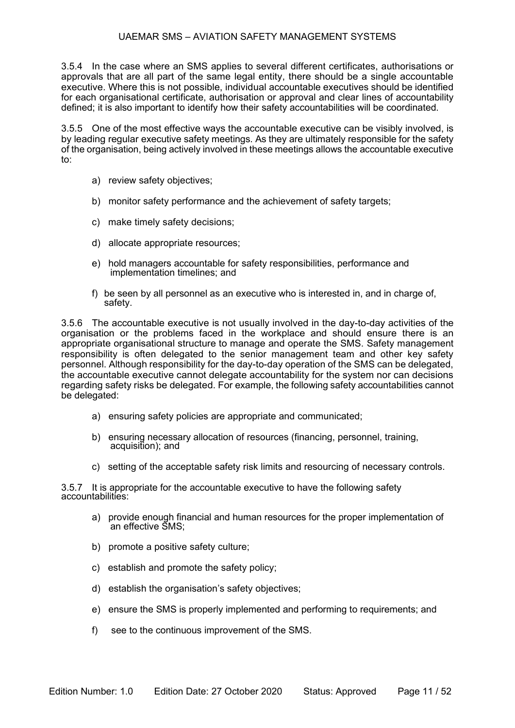3.5.4 In the case where an SMS applies to several different certificates, authorisations or approvals that are all part of the same legal entity, there should be a single accountable executive. Where this is not possible, individual accountable executives should be identified for each organisational certificate, authorisation or approval and clear lines of accountability defined; it is also important to identify how their safety accountabilities will be coordinated.

3.5.5 One of the most effective ways the accountable executive can be visibly involved, is by leading regular executive safety meetings. As they are ultimately responsible for the safety of the organisation, being actively involved in these meetings allows the accountable executive to:

- a) review safety objectives;
- b) monitor safety performance and the achievement of safety targets;
- c) make timely safety decisions;
- d) allocate appropriate resources;
- e) hold managers accountable for safety responsibilities, performance and implementation timelines; and
- f) be seen by all personnel as an executive who is interested in, and in charge of, safety.

3.5.6 The accountable executive is not usually involved in the day-to-day activities of the organisation or the problems faced in the workplace and should ensure there is an appropriate organisational structure to manage and operate the SMS. Safety management responsibility is often delegated to the senior management team and other key safety personnel. Although responsibility for the day-to-day operation of the SMS can be delegated, the accountable executive cannot delegate accountability for the system nor can decisions regarding safety risks be delegated. For example, the following safety accountabilities cannot be delegated:

- a) ensuring safety policies are appropriate and communicated;
- b) ensuring necessary allocation of resources (financing, personnel, training, acquisition); and
- c) setting of the acceptable safety risk limits and resourcing of necessary controls.

3.5.7 It is appropriate for the accountable executive to have the following safety accountabilities:

- a) provide enough financial and human resources for the proper implementation of an effective SMS;
- b) promote a positive safety culture;
- c) establish and promote the safety policy;
- d) establish the organisation's safety objectives;
- e) ensure the SMS is properly implemented and performing to requirements; and
- f) see to the continuous improvement of the SMS.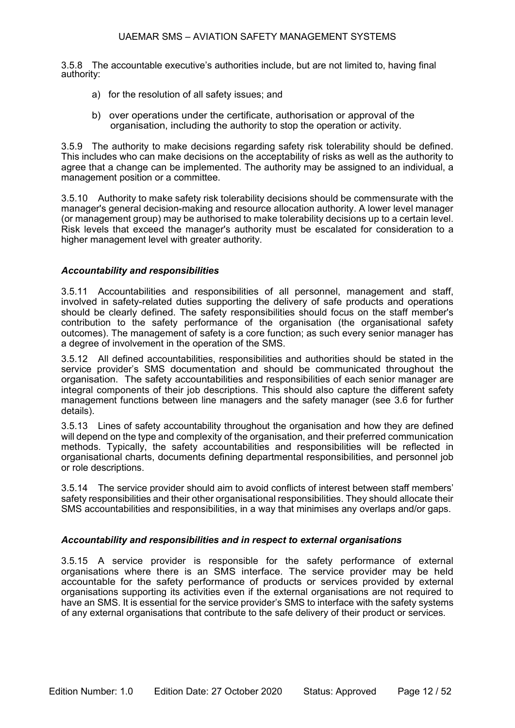3.5.8 The accountable executive's authorities include, but are not limited to, having final authority:

- a) for the resolution of all safety issues; and
- b) over operations under the certificate, authorisation or approval of the organisation, including the authority to stop the operation or activity.

3.5.9 The authority to make decisions regarding safety risk tolerability should be defined. This includes who can make decisions on the acceptability of risks as well as the authority to agree that a change can be implemented. The authority may be assigned to an individual, a management position or a committee.

3.5.10 Authority to make safety risk tolerability decisions should be commensurate with the manager's general decision-making and resource allocation authority. A lower level manager (or management group) may be authorised to make tolerability decisions up to a certain level. Risk levels that exceed the manager's authority must be escalated for consideration to a higher management level with greater authority.

#### *Accountability and responsibilities*

3.5.11 Accountabilities and responsibilities of all personnel, management and staff, involved in safety-related duties supporting the delivery of safe products and operations should be clearly defined. The safety responsibilities should focus on the staff member's contribution to the safety performance of the organisation (the organisational safety outcomes). The management of safety is a core function; as such every senior manager has a degree of involvement in the operation of the SMS.

3.5.12 All defined accountabilities, responsibilities and authorities should be stated in the service provider's SMS documentation and should be communicated throughout the organisation. The safety accountabilities and responsibilities of each senior manager are integral components of their job descriptions. This should also capture the different safety management functions between line managers and the safety manager (see 3.6 for further details).

3.5.13 Lines of safety accountability throughout the organisation and how they are defined will depend on the type and complexity of the organisation, and their preferred communication methods. Typically, the safety accountabilities and responsibilities will be reflected in organisational charts, documents defining departmental responsibilities, and personnel job or role descriptions.

3.5.14 The service provider should aim to avoid conflicts of interest between staff members' safety responsibilities and their other organisational responsibilities. They should allocate their SMS accountabilities and responsibilities, in a way that minimises any overlaps and/or gaps.

#### *Accountability and responsibilities and in respect to external organisations*

3.5.15 A service provider is responsible for the safety performance of external organisations where there is an SMS interface. The service provider may be held accountable for the safety performance of products or services provided by external organisations supporting its activities even if the external organisations are not required to have an SMS. It is essential for the service provider's SMS to interface with the safety systems of any external organisations that contribute to the safe delivery of their product or services.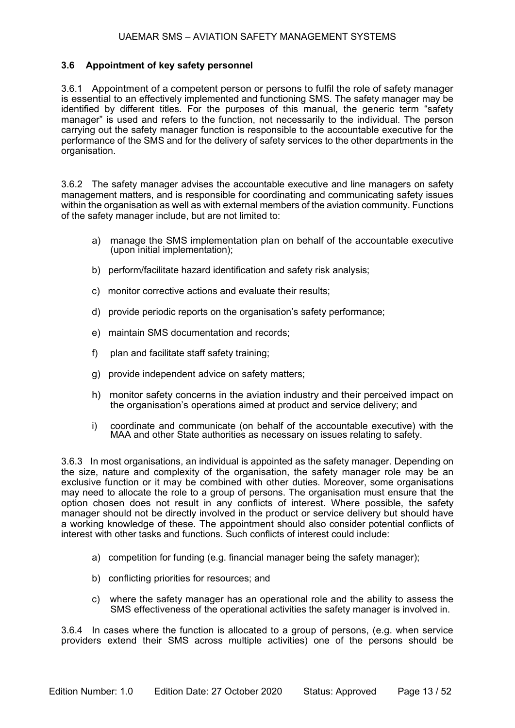#### **3.6 Appointment of key safety personnel**

3.6.1 Appointment of a competent person or persons to fulfil the role of safety manager is essential to an effectively implemented and functioning SMS. The safety manager may be identified by different titles. For the purposes of this manual, the generic term "safety manager" is used and refers to the function, not necessarily to the individual. The person carrying out the safety manager function is responsible to the accountable executive for the performance of the SMS and for the delivery of safety services to the other departments in the organisation.

3.6.2 The safety manager advises the accountable executive and line managers on safety management matters, and is responsible for coordinating and communicating safety issues within the organisation as well as with external members of the aviation community. Functions of the safety manager include, but are not limited to:

- a) manage the SMS implementation plan on behalf of the accountable executive (upon initial implementation);
- b) perform/facilitate hazard identification and safety risk analysis;
- c) monitor corrective actions and evaluate their results;
- d) provide periodic reports on the organisation's safety performance;
- e) maintain SMS documentation and records;
- f) plan and facilitate staff safety training;
- g) provide independent advice on safety matters;
- h) monitor safety concerns in the aviation industry and their perceived impact on the organisation's operations aimed at product and service delivery; and
- i) coordinate and communicate (on behalf of the accountable executive) with the MAA and other State authorities as necessary on issues relating to safety.

3.6.3 In most organisations, an individual is appointed as the safety manager. Depending on the size, nature and complexity of the organisation, the safety manager role may be an exclusive function or it may be combined with other duties. Moreover, some organisations may need to allocate the role to a group of persons. The organisation must ensure that the option chosen does not result in any conflicts of interest. Where possible, the safety manager should not be directly involved in the product or service delivery but should have a working knowledge of these. The appointment should also consider potential conflicts of interest with other tasks and functions. Such conflicts of interest could include:

- a) competition for funding (e.g. financial manager being the safety manager);
- b) conflicting priorities for resources; and
- c) where the safety manager has an operational role and the ability to assess the SMS effectiveness of the operational activities the safety manager is involved in.

3.6.4 In cases where the function is allocated to a group of persons, (e.g. when service providers extend their SMS across multiple activities) one of the persons should be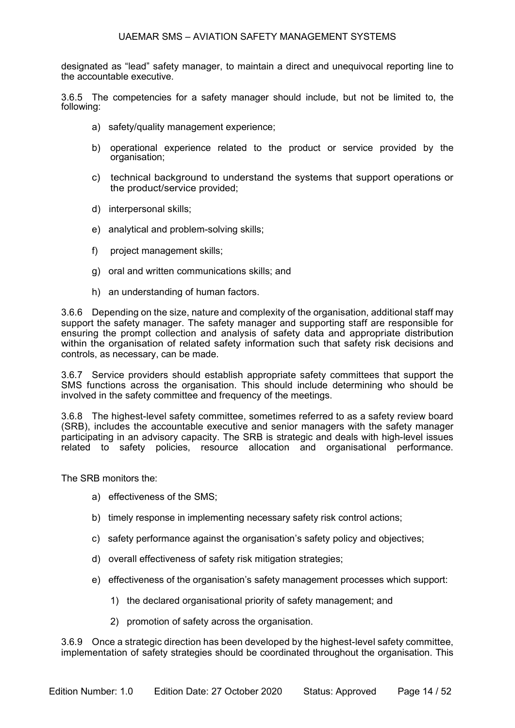designated as "lead" safety manager, to maintain a direct and unequivocal reporting line to the accountable executive.

3.6.5 The competencies for a safety manager should include, but not be limited to, the following:

- a) safety/quality management experience;
- b) operational experience related to the product or service provided by the organisation;
- c) technical background to understand the systems that support operations or the product/service provided;
- d) interpersonal skills;
- e) analytical and problem-solving skills;
- f) project management skills;
- g) oral and written communications skills; and
- h) an understanding of human factors.

3.6.6 Depending on the size, nature and complexity of the organisation, additional staff may support the safety manager. The safety manager and supporting staff are responsible for ensuring the prompt collection and analysis of safety data and appropriate distribution within the organisation of related safety information such that safety risk decisions and controls, as necessary, can be made.

3.6.7 Service providers should establish appropriate safety committees that support the SMS functions across the organisation. This should include determining who should be involved in the safety committee and frequency of the meetings.

3.6.8 The highest-level safety committee, sometimes referred to as a safety review board (SRB), includes the accountable executive and senior managers with the safety manager participating in an advisory capacity. The SRB is strategic and deals with high-level issues related to safety policies, resource allocation and organisational performance.

The SRB monitors the:

- a) effectiveness of the SMS;
- b) timely response in implementing necessary safety risk control actions;
- c) safety performance against the organisation's safety policy and objectives;
- d) overall effectiveness of safety risk mitigation strategies;
- e) effectiveness of the organisation's safety management processes which support:
	- 1) the declared organisational priority of safety management; and
	- 2) promotion of safety across the organisation.

3.6.9 Once a strategic direction has been developed by the highest-level safety committee, implementation of safety strategies should be coordinated throughout the organisation. This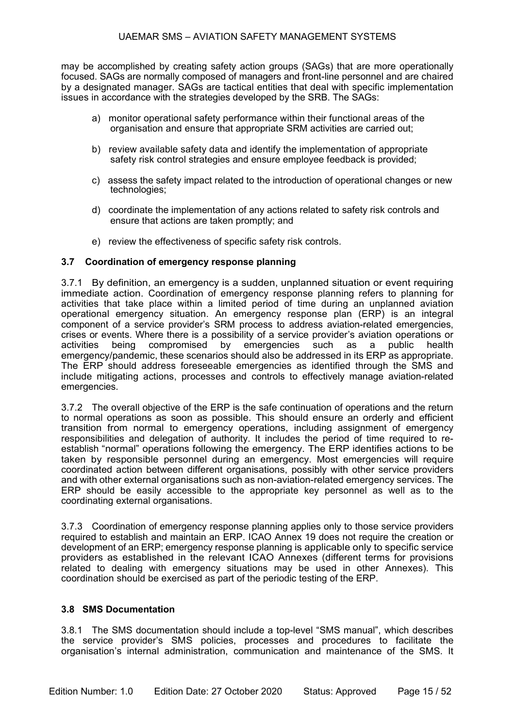may be accomplished by creating safety action groups (SAGs) that are more operationally focused. SAGs are normally composed of managers and front-line personnel and are chaired by a designated manager. SAGs are tactical entities that deal with specific implementation issues in accordance with the strategies developed by the SRB. The SAGs:

- a) monitor operational safety performance within their functional areas of the organisation and ensure that appropriate SRM activities are carried out;
- b) review available safety data and identify the implementation of appropriate safety risk control strategies and ensure employee feedback is provided;
- c) assess the safety impact related to the introduction of operational changes or new technologies;
- d) coordinate the implementation of any actions related to safety risk controls and ensure that actions are taken promptly; and
- e) review the effectiveness of specific safety risk controls.

#### **3.7 Coordination of emergency response planning**

3.7.1 By definition, an emergency is a sudden, unplanned situation or event requiring immediate action. Coordination of emergency response planning refers to planning for activities that take place within a limited period of time during an unplanned aviation operational emergency situation. An emergency response plan (ERP) is an integral component of a service provider's SRM process to address aviation-related emergencies, crises or events. Where there is a possibility of a service provider's aviation operations or activities being compromised by emergencies such as a public health compromised by emergency/pandemic, these scenarios should also be addressed in its ERP as appropriate. The ERP should address foreseeable emergencies as identified through the SMS and include mitigating actions, processes and controls to effectively manage aviation-related emergencies.

3.7.2 The overall objective of the ERP is the safe continuation of operations and the return to normal operations as soon as possible. This should ensure an orderly and efficient transition from normal to emergency operations, including assignment of emergency responsibilities and delegation of authority. It includes the period of time required to reestablish "normal" operations following the emergency. The ERP identifies actions to be taken by responsible personnel during an emergency. Most emergencies will require coordinated action between different organisations, possibly with other service providers and with other external organisations such as non-aviation-related emergency services. The ERP should be easily accessible to the appropriate key personnel as well as to the coordinating external organisations.

3.7.3 Coordination of emergency response planning applies only to those service providers required to establish and maintain an ERP. ICAO Annex 19 does not require the creation or development of an ERP; emergency response planning is applicable only to specific service providers as established in the relevant ICAO Annexes (different terms for provisions related to dealing with emergency situations may be used in other Annexes). This coordination should be exercised as part of the periodic testing of the ERP.

#### **3.8 SMS Documentation**

3.8.1 The SMS documentation should include a top-level "SMS manual", which describes the service provider's SMS policies, processes and procedures to facilitate the organisation's internal administration, communication and maintenance of the SMS. It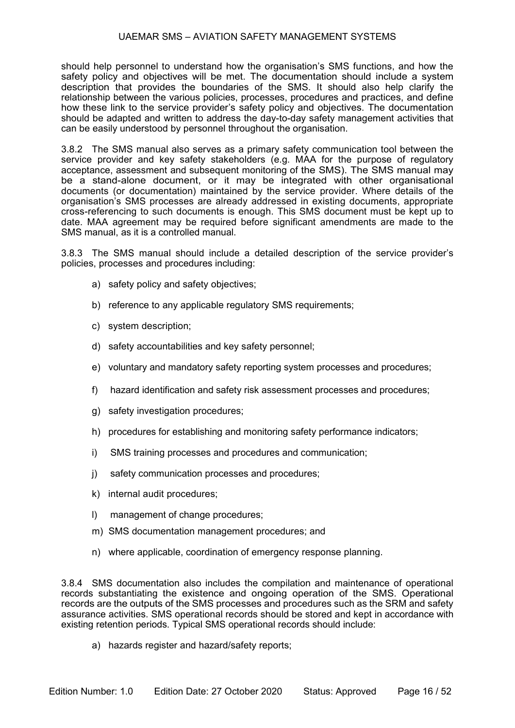should help personnel to understand how the organisation's SMS functions, and how the safety policy and objectives will be met. The documentation should include a system description that provides the boundaries of the SMS. It should also help clarify the relationship between the various policies, processes, procedures and practices, and define how these link to the service provider's safety policy and objectives. The documentation should be adapted and written to address the day-to-day safety management activities that can be easily understood by personnel throughout the organisation.

3.8.2 The SMS manual also serves as a primary safety communication tool between the service provider and key safety stakeholders (e.g. MAA for the purpose of regulatory acceptance, assessment and subsequent monitoring of the SMS). The SMS manual may be a stand-alone document, or it may be integrated with other organisational documents (or documentation) maintained by the service provider. Where details of the organisation's SMS processes are already addressed in existing documents, appropriate cross-referencing to such documents is enough. This SMS document must be kept up to date. MAA agreement may be required before significant amendments are made to the SMS manual, as it is a controlled manual.

3.8.3 The SMS manual should include a detailed description of the service provider's policies, processes and procedures including:

- a) safety policy and safety objectives;
- b) reference to any applicable regulatory SMS requirements;
- c) system description;
- d) safety accountabilities and key safety personnel;
- e) voluntary and mandatory safety reporting system processes and procedures;
- f) hazard identification and safety risk assessment processes and procedures;
- g) safety investigation procedures;
- h) procedures for establishing and monitoring safety performance indicators;
- i) SMS training processes and procedures and communication;
- j) safety communication processes and procedures;
- k) internal audit procedures;
- l) management of change procedures;
- m) SMS documentation management procedures; and
- n) where applicable, coordination of emergency response planning.

3.8.4 SMS documentation also includes the compilation and maintenance of operational records substantiating the existence and ongoing operation of the SMS. Operational records are the outputs of the SMS processes and procedures such as the SRM and safety assurance activities. SMS operational records should be stored and kept in accordance with existing retention periods. Typical SMS operational records should include:

a) hazards register and hazard/safety reports;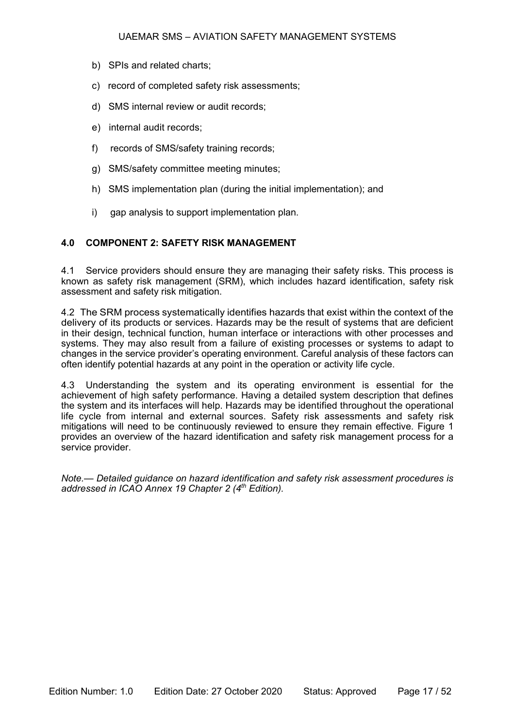- b) SPIs and related charts;
- c) record of completed safety risk assessments;
- d) SMS internal review or audit records;
- e) internal audit records;
- f) records of SMS/safety training records;
- g) SMS/safety committee meeting minutes;
- h) SMS implementation plan (during the initial implementation); and
- i) gap analysis to support implementation plan.

#### <span id="page-16-0"></span>**4.0 COMPONENT 2: SAFETY RISK MANAGEMENT**

4.1 Service providers should ensure they are managing their safety risks. This process is known as safety risk management (SRM), which includes hazard identification, safety risk assessment and safety risk mitigation.

4.2 The SRM process systematically identifies hazards that exist within the context of the delivery of its products or services. Hazards may be the result of systems that are deficient in their design, technical function, human interface or interactions with other processes and systems. They may also result from a failure of existing processes or systems to adapt to changes in the service provider's operating environment. Careful analysis of these factors can often identify potential hazards at any point in the operation or activity life cycle.

4.3 Understanding the system and its operating environment is essential for the achievement of high safety performance. Having a detailed system description that defines the system and its interfaces will help. Hazards may be identified throughout the operational life cycle from internal and external sources. Safety risk assessments and safety risk mitigations will need to be continuously reviewed to ensure they remain effective. [Figure 1](#page-17-0) provides an overview of the hazard identification and safety risk management process for a service provider.

*Note.— Detailed guidance on hazard identification and safety risk assessment procedures is addressed in ICAO Annex 19 Chapter 2 (4th Edition).*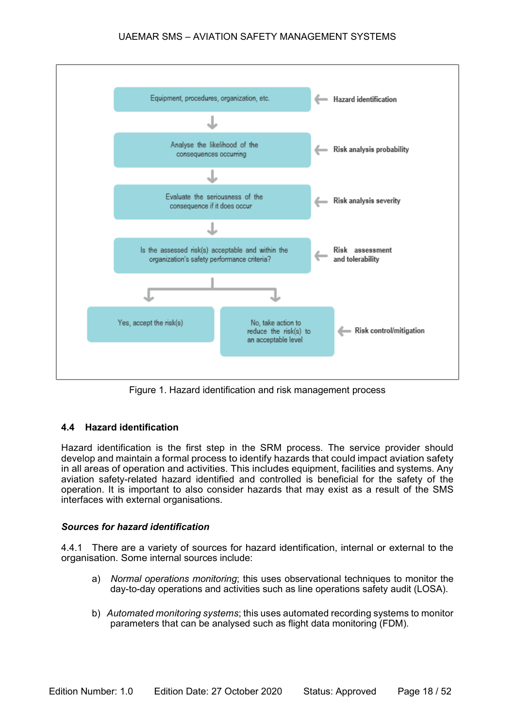

Figure 1. Hazard identification and risk management process

### <span id="page-17-0"></span>**4.4 Hazard identification**

Hazard identification is the first step in the SRM process. The service provider should develop and maintain a formal process to identify hazards that could impact aviation safety in all areas of operation and activities. This includes equipment, facilities and systems. Any aviation safety-related hazard identified and controlled is beneficial for the safety of the operation. It is important to also consider hazards that may exist as a result of the SMS interfaces with external organisations.

#### *Sources for hazard identification*

4.4.1 There are a variety of sources for hazard identification, internal or external to the organisation. Some internal sources include:

- a) *Normal operations monitoring*; this uses observational techniques to monitor the day-to-day operations and activities such as line operations safety audit (LOSA).
- b) *Automated monitoring systems*; this uses automated recording systems to monitor parameters that can be analysed such as flight data monitoring (FDM).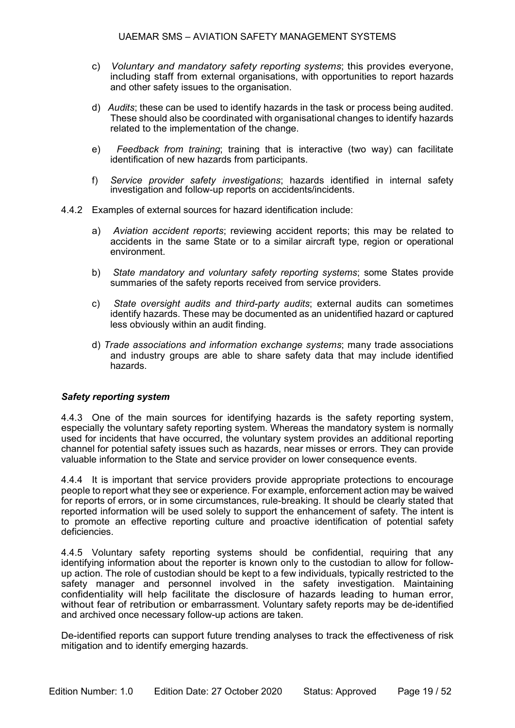- c) *Voluntary and mandatory safety reporting systems*; this provides everyone, including staff from external organisations, with opportunities to report hazards and other safety issues to the organisation.
- d) *Audits*; these can be used to identify hazards in the task or process being audited. These should also be coordinated with organisational changes to identify hazards related to the implementation of the change.
- e) *Feedback from training*; training that is interactive (two way) can facilitate identification of new hazards from participants.
- f) *Service provider safety investigations*; hazards identified in internal safety investigation and follow-up reports on accidents/incidents.
- 4.4.2 Examples of external sources for hazard identification include:
	- a) *Aviation accident reports*; reviewing accident reports; this may be related to accidents in the same State or to a similar aircraft type, region or operational environment.
	- b) *State mandatory and voluntary safety reporting systems*; some States provide summaries of the safety reports received from service providers.
	- c) *State oversight audits and third-party audits*; external audits can sometimes identify hazards. These may be documented as an unidentified hazard or captured less obviously within an audit finding.
	- d) *Trade associations and information exchange systems*; many trade associations and industry groups are able to share safety data that may include identified hazards.

#### *Safety reporting system*

4.4.3 One of the main sources for identifying hazards is the safety reporting system, especially the voluntary safety reporting system. Whereas the mandatory system is normally used for incidents that have occurred, the voluntary system provides an additional reporting channel for potential safety issues such as hazards, near misses or errors. They can provide valuable information to the State and service provider on lower consequence events.

4.4.4 It is important that service providers provide appropriate protections to encourage people to report what they see or experience. For example, enforcement action may be waived for reports of errors, or in some circumstances, rule-breaking. It should be clearly stated that reported information will be used solely to support the enhancement of safety. The intent is to promote an effective reporting culture and proactive identification of potential safety deficiencies.

4.4.5 Voluntary safety reporting systems should be confidential, requiring that any identifying information about the reporter is known only to the custodian to allow for followup action. The role of custodian should be kept to a few individuals, typically restricted to the safety manager and personnel involved in the safety investigation. Maintaining confidentiality will help facilitate the disclosure of hazards leading to human error, without fear of retribution or embarrassment. Voluntary safety reports may be de-identified and archived once necessary follow-up actions are taken.

De-identified reports can support future trending analyses to track the effectiveness of risk mitigation and to identify emerging hazards.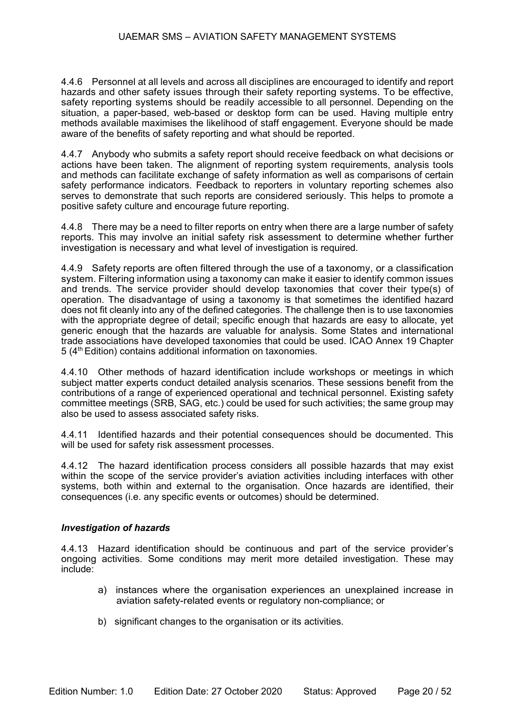4.4.6 Personnel at all levels and across all disciplines are encouraged to identify and report hazards and other safety issues through their safety reporting systems. To be effective, safety reporting systems should be readily accessible to all personnel. Depending on the situation, a paper-based, web-based or desktop form can be used. Having multiple entry methods available maximises the likelihood of staff engagement. Everyone should be made aware of the benefits of safety reporting and what should be reported.

4.4.7 Anybody who submits a safety report should receive feedback on what decisions or actions have been taken. The alignment of reporting system requirements, analysis tools and methods can facilitate exchange of safety information as well as comparisons of certain safety performance indicators. Feedback to reporters in voluntary reporting schemes also serves to demonstrate that such reports are considered seriously. This helps to promote a positive safety culture and encourage future reporting.

4.4.8 There may be a need to filter reports on entry when there are a large number of safety reports. This may involve an initial safety risk assessment to determine whether further investigation is necessary and what level of investigation is required.

4.4.9 Safety reports are often filtered through the use of a taxonomy, or a classification system. Filtering information using a taxonomy can make it easier to identify common issues and trends. The service provider should develop taxonomies that cover their type(s) of operation. The disadvantage of using a taxonomy is that sometimes the identified hazard does not fit cleanly into any of the defined categories. The challenge then is to use taxonomies with the appropriate degree of detail; specific enough that hazards are easy to allocate, yet generic enough that the hazards are valuable for analysis. Some States and international trade associations have developed taxonomies that could be used. ICAO Annex 19 Chapter 5 (4<sup>th</sup> Edition) contains additional information on taxonomies.

4.4.10 Other methods of hazard identification include workshops or meetings in which subject matter experts conduct detailed analysis scenarios. These sessions benefit from the contributions of a range of experienced operational and technical personnel. Existing safety committee meetings (SRB, SAG, etc.) could be used for such activities; the same group may also be used to assess associated safety risks.

4.4.11 Identified hazards and their potential consequences should be documented. This will be used for safety risk assessment processes.

4.4.12 The hazard identification process considers all possible hazards that may exist within the scope of the service provider's aviation activities including interfaces with other systems, both within and external to the organisation. Once hazards are identified, their consequences (i.e. any specific events or outcomes) should be determined.

#### *Investigation of hazards*

4.4.13 Hazard identification should be continuous and part of the service provider's ongoing activities. Some conditions may merit more detailed investigation. These may include:

- a) instances where the organisation experiences an unexplained increase in aviation safety-related events or regulatory non-compliance; or
- b) significant changes to the organisation or its activities.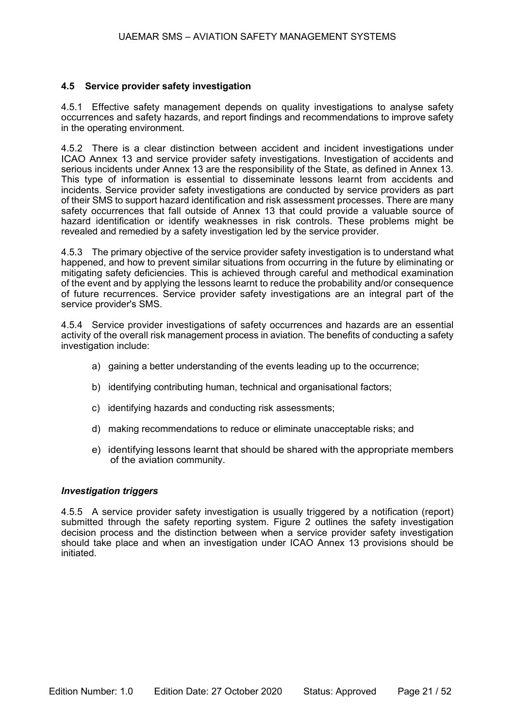#### **4.5 Service provider safety investigation**

4.5.1 Effective safety management depends on quality investigations to analyse safety occurrences and safety hazards, and report findings and recommendations to improve safety in the operating environment.

4.5.2 There is a clear distinction between accident and incident investigations under ICAO Annex 13 and service provider safety investigations. Investigation of accidents and serious incidents under Annex 13 are the responsibility of the State, as defined in Annex 13. This type of information is essential to disseminate lessons learnt from accidents and incidents. Service provider safety investigations are conducted by service providers as part of their SMS to support hazard identification and risk assessment processes. There are many safety occurrences that fall outside of Annex 13 that could provide a valuable source of hazard identification or identify weaknesses in risk controls. These problems might be revealed and remedied by a safety investigation led by the service provider.

4.5.3 The primary objective of the service provider safety investigation is to understand what happened, and how to prevent similar situations from occurring in the future by eliminating or mitigating safety deficiencies. This is achieved through careful and methodical examination of the event and by applying the lessons learnt to reduce the probability and/or consequence of future recurrences. Service provider safety investigations are an integral part of the service provider's SMS.

4.5.4 Service provider investigations of safety occurrences and hazards are an essential activity of the overall risk management process in aviation. The benefits of conducting a safety investigation include:

- a) gaining a better understanding of the events leading up to the occurrence;
- b) identifying contributing human, technical and organisational factors;
- c) identifying hazards and conducting risk assessments;
- d) making recommendations to reduce or eliminate unacceptable risks; and
- e) identifying lessons learnt that should be shared with the appropriate members of the aviation community.

#### *Investigation triggers*

4.5.5 A service provider safety investigation is usually triggered by a notification (report) submitted through the safety reporting system. [Figure 2](#page-21-0) outlines the safety investigation decision process and the distinction between when a service provider safety investigation should take place and when an investigation under ICAO Annex 13 provisions should be initiated.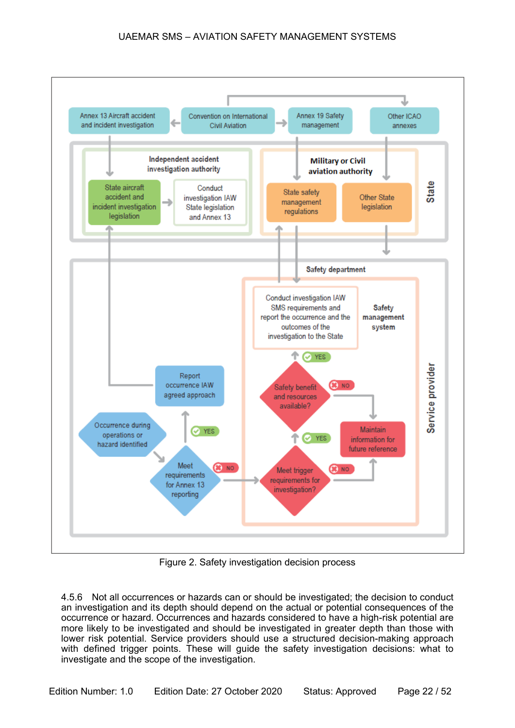

Figure 2. Safety investigation decision process

<span id="page-21-0"></span>4.5.6 Not all occurrences or hazards can or should be investigated; the decision to conduct an investigation and its depth should depend on the actual or potential consequences of the occurrence or hazard. Occurrences and hazards considered to have a high-risk potential are more likely to be investigated and should be investigated in greater depth than those with lower risk potential. Service providers should use a structured decision-making approach with defined trigger points. These will guide the safety investigation decisions: what to investigate and the scope of the investigation.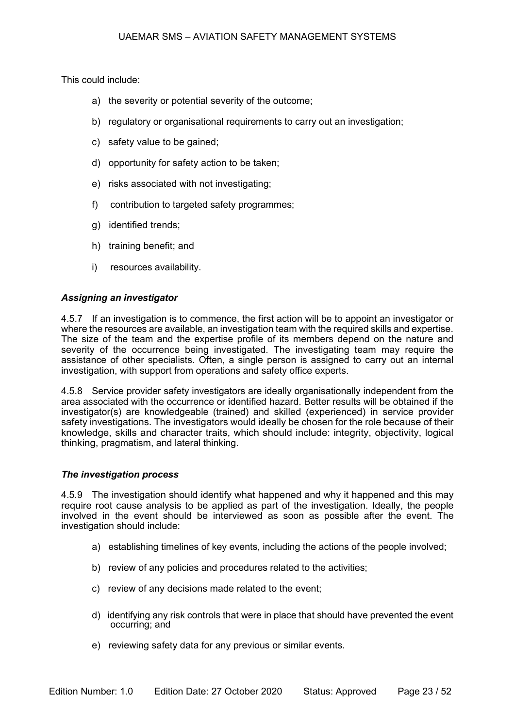This could include:

- a) the severity or potential severity of the outcome;
- b) regulatory or organisational requirements to carry out an investigation;
- c) safety value to be gained;
- d) opportunity for safety action to be taken;
- e) risks associated with not investigating;
- f) contribution to targeted safety programmes;
- g) identified trends;
- h) training benefit; and
- i) resources availability.

#### *Assigning an investigator*

4.5.7 If an investigation is to commence, the first action will be to appoint an investigator or where the resources are available, an investigation team with the required skills and expertise. The size of the team and the expertise profile of its members depend on the nature and severity of the occurrence being investigated. The investigating team may require the assistance of other specialists. Often, a single person is assigned to carry out an internal investigation, with support from operations and safety office experts.

4.5.8 Service provider safety investigators are ideally organisationally independent from the area associated with the occurrence or identified hazard. Better results will be obtained if the investigator(s) are knowledgeable (trained) and skilled (experienced) in service provider safety investigations. The investigators would ideally be chosen for the role because of their knowledge, skills and character traits, which should include: integrity, objectivity, logical thinking, pragmatism, and lateral thinking.

#### *The investigation process*

4.5.9 The investigation should identify what happened and why it happened and this may require root cause analysis to be applied as part of the investigation. Ideally, the people involved in the event should be interviewed as soon as possible after the event. The investigation should include:

- a) establishing timelines of key events, including the actions of the people involved;
- b) review of any policies and procedures related to the activities;
- c) review of any decisions made related to the event;
- d) identifying any risk controls that were in place that should have prevented the event occurring; and
- e) reviewing safety data for any previous or similar events.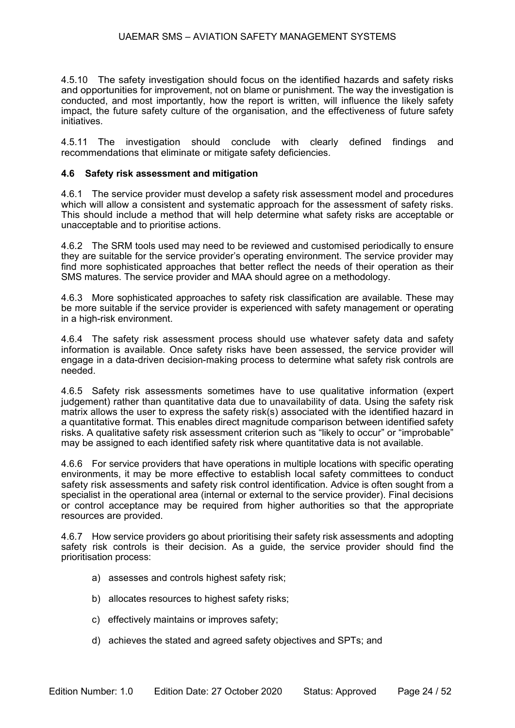4.5.10 The safety investigation should focus on the identified hazards and safety risks and opportunities for improvement, not on blame or punishment. The way the investigation is conducted, and most importantly, how the report is written, will influence the likely safety impact, the future safety culture of the organisation, and the effectiveness of future safety initiatives.

4.5.11 The investigation should conclude with clearly defined findings and recommendations that eliminate or mitigate safety deficiencies.

#### **4.6 Safety risk assessment and mitigation**

4.6.1 The service provider must develop a safety risk assessment model and procedures which will allow a consistent and systematic approach for the assessment of safety risks. This should include a method that will help determine what safety risks are acceptable or unacceptable and to prioritise actions.

4.6.2 The SRM tools used may need to be reviewed and customised periodically to ensure they are suitable for the service provider's operating environment. The service provider may find more sophisticated approaches that better reflect the needs of their operation as their SMS matures. The service provider and MAA should agree on a methodology.

4.6.3 More sophisticated approaches to safety risk classification are available. These may be more suitable if the service provider is experienced with safety management or operating in a high-risk environment.

4.6.4 The safety risk assessment process should use whatever safety data and safety information is available. Once safety risks have been assessed, the service provider will engage in a data-driven decision-making process to determine what safety risk controls are needed.

4.6.5 Safety risk assessments sometimes have to use qualitative information (expert judgement) rather than quantitative data due to unavailability of data. Using the safety risk matrix allows the user to express the safety risk(s) associated with the identified hazard in a quantitative format. This enables direct magnitude comparison between identified safety risks. A qualitative safety risk assessment criterion such as "likely to occur" or "improbable" may be assigned to each identified safety risk where quantitative data is not available.

4.6.6 For service providers that have operations in multiple locations with specific operating environments, it may be more effective to establish local safety committees to conduct safety risk assessments and safety risk control identification. Advice is often sought from a specialist in the operational area (internal or external to the service provider). Final decisions or control acceptance may be required from higher authorities so that the appropriate resources are provided.

4.6.7 How service providers go about prioritising their safety risk assessments and adopting safety risk controls is their decision. As a guide, the service provider should find the prioritisation process:

- a) assesses and controls highest safety risk;
- b) allocates resources to highest safety risks;
- c) effectively maintains or improves safety;
- d) achieves the stated and agreed safety objectives and SPTs; and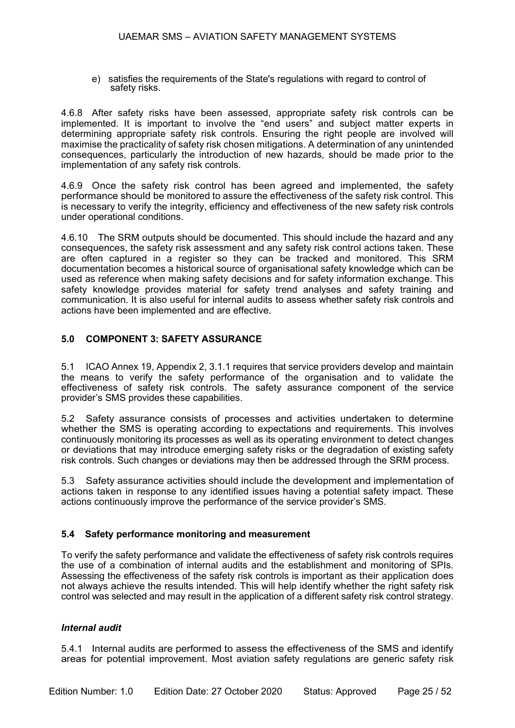e) satisfies the requirements of the State's regulations with regard to control of safety risks.

4.6.8 After safety risks have been assessed, appropriate safety risk controls can be implemented. It is important to involve the "end users" and subject matter experts in determining appropriate safety risk controls. Ensuring the right people are involved will maximise the practicality of safety risk chosen mitigations. A determination of any unintended consequences, particularly the introduction of new hazards, should be made prior to the implementation of any safety risk controls.

4.6.9 Once the safety risk control has been agreed and implemented, the safety performance should be monitored to assure the effectiveness of the safety risk control. This is necessary to verify the integrity, efficiency and effectiveness of the new safety risk controls under operational conditions.

4.6.10 The SRM outputs should be documented. This should include the hazard and any consequences, the safety risk assessment and any safety risk control actions taken. These are often captured in a register so they can be tracked and monitored. This SRM documentation becomes a historical source of organisational safety knowledge which can be used as reference when making safety decisions and for safety information exchange. This safety knowledge provides material for safety trend analyses and safety training and communication. It is also useful for internal audits to assess whether safety risk controls and actions have been implemented and are effective.

#### <span id="page-24-0"></span>**5.0 COMPONENT 3: SAFETY ASSURANCE**

5.1 ICAO Annex 19, Appendix 2, 3.1.1 requires that service providers develop and maintain the means to verify the safety performance of the organisation and to validate the effectiveness of safety risk controls. The safety assurance component of the service provider's SMS provides these capabilities.

5.2 Safety assurance consists of processes and activities undertaken to determine whether the SMS is operating according to expectations and requirements. This involves continuously monitoring its processes as well as its operating environment to detect changes or deviations that may introduce emerging safety risks or the degradation of existing safety risk controls. Such changes or deviations may then be addressed through the SRM process.

5.3 Safety assurance activities should include the development and implementation of actions taken in response to any identified issues having a potential safety impact. These actions continuously improve the performance of the service provider's SMS.

#### **5.4 Safety performance monitoring and measurement**

To verify the safety performance and validate the effectiveness of safety risk controls requires the use of a combination of internal audits and the establishment and monitoring of SPIs. Assessing the effectiveness of the safety risk controls is important as their application does not always achieve the results intended. This will help identify whether the right safety risk control was selected and may result in the application of a different safety risk control strategy.

#### *Internal audit*

5.4.1 Internal audits are performed to assess the effectiveness of the SMS and identify areas for potential improvement. Most aviation safety regulations are generic safety risk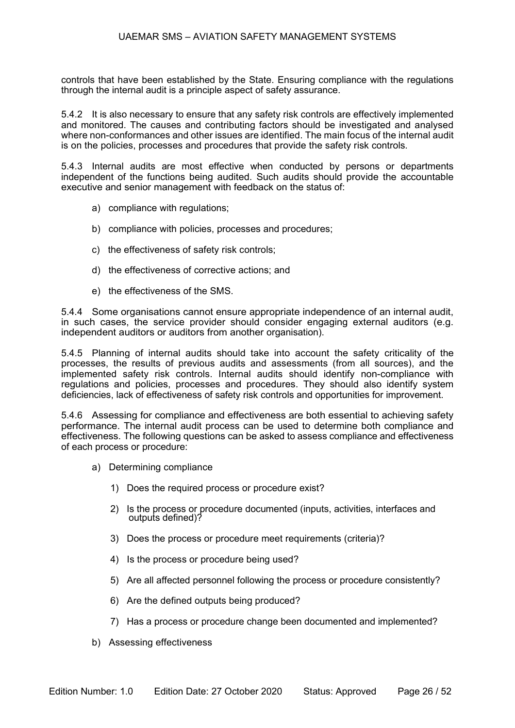controls that have been established by the State. Ensuring compliance with the regulations through the internal audit is a principle aspect of safety assurance.

5.4.2 It is also necessary to ensure that any safety risk controls are effectively implemented and monitored. The causes and contributing factors should be investigated and analysed where non-conformances and other issues are identified. The main focus of the internal audit is on the policies, processes and procedures that provide the safety risk controls.

5.4.3 Internal audits are most effective when conducted by persons or departments independent of the functions being audited. Such audits should provide the accountable executive and senior management with feedback on the status of:

- a) compliance with regulations;
- b) compliance with policies, processes and procedures;
- c) the effectiveness of safety risk controls;
- d) the effectiveness of corrective actions; and
- e) the effectiveness of the SMS.

5.4.4 Some organisations cannot ensure appropriate independence of an internal audit, in such cases, the service provider should consider engaging external auditors (e.g. independent auditors or auditors from another organisation).

5.4.5 Planning of internal audits should take into account the safety criticality of the processes, the results of previous audits and assessments (from all sources), and the implemented safety risk controls. Internal audits should identify non-compliance with regulations and policies, processes and procedures. They should also identify system deficiencies, lack of effectiveness of safety risk controls and opportunities for improvement.

5.4.6 Assessing for compliance and effectiveness are both essential to achieving safety performance. The internal audit process can be used to determine both compliance and effectiveness. The following questions can be asked to assess compliance and effectiveness of each process or procedure:

- a) Determining compliance
	- 1) Does the required process or procedure exist?
	- 2) Is the process or procedure documented (inputs, activities, interfaces and outputs defined)?
	- 3) Does the process or procedure meet requirements (criteria)?
	- 4) Is the process or procedure being used?
	- 5) Are all affected personnel following the process or procedure consistently?
	- 6) Are the defined outputs being produced?
	- 7) Has a process or procedure change been documented and implemented?
- b) Assessing effectiveness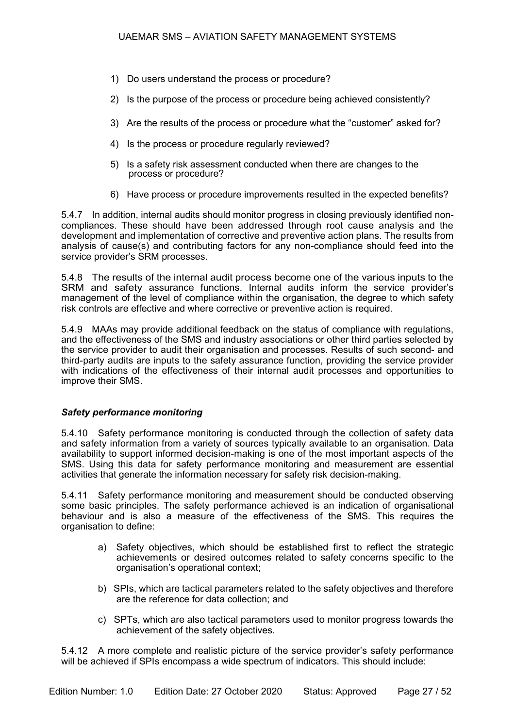- 1) Do users understand the process or procedure?
- 2) Is the purpose of the process or procedure being achieved consistently?
- 3) Are the results of the process or procedure what the "customer" asked for?
- 4) Is the process or procedure regularly reviewed?
- 5) Is a safety risk assessment conducted when there are changes to the process or procedure?
- 6) Have process or procedure improvements resulted in the expected benefits?

5.4.7 In addition, internal audits should monitor progress in closing previously identified noncompliances. These should have been addressed through root cause analysis and the development and implementation of corrective and preventive action plans. The results from analysis of cause(s) and contributing factors for any non-compliance should feed into the service provider's SRM processes.

5.4.8 The results of the internal audit process become one of the various inputs to the SRM and safety assurance functions. Internal audits inform the service provider's management of the level of compliance within the organisation, the degree to which safety risk controls are effective and where corrective or preventive action is required.

5.4.9 MAAs may provide additional feedback on the status of compliance with regulations, and the effectiveness of the SMS and industry associations or other third parties selected by the service provider to audit their organisation and processes. Results of such second- and third-party audits are inputs to the safety assurance function, providing the service provider with indications of the effectiveness of their internal audit processes and opportunities to improve their SMS.

#### *Safety performance monitoring*

5.4.10 Safety performance monitoring is conducted through the collection of safety data and safety information from a variety of sources typically available to an organisation. Data availability to support informed decision-making is one of the most important aspects of the SMS. Using this data for safety performance monitoring and measurement are essential activities that generate the information necessary for safety risk decision-making.

5.4.11 Safety performance monitoring and measurement should be conducted observing some basic principles. The safety performance achieved is an indication of organisational behaviour and is also a measure of the effectiveness of the SMS. This requires the organisation to define:

- a) Safety objectives, which should be established first to reflect the strategic achievements or desired outcomes related to safety concerns specific to the organisation's operational context;
- b) SPIs, which are tactical parameters related to the safety objectives and therefore are the reference for data collection; and
- c) SPTs, which are also tactical parameters used to monitor progress towards the achievement of the safety objectives.

5.4.12 A more complete and realistic picture of the service provider's safety performance will be achieved if SPIs encompass a wide spectrum of indicators. This should include: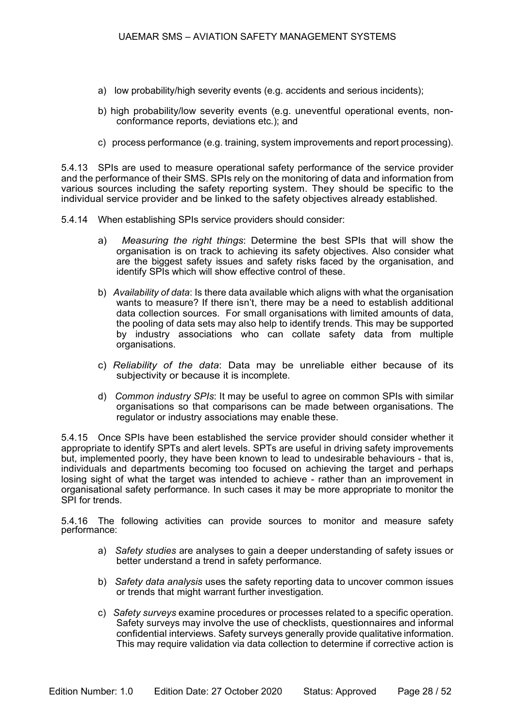- a) low probability/high severity events (e.g. accidents and serious incidents);
- b) high probability/low severity events (e.g. uneventful operational events, nonconformance reports, deviations etc.); and
- c) process performance (e.g. training, system improvements and report processing).

5.4.13 SPIs are used to measure operational safety performance of the service provider and the performance of their SMS. SPIs rely on the monitoring of data and information from various sources including the safety reporting system. They should be specific to the individual service provider and be linked to the safety objectives already established.

5.4.14 When establishing SPIs service providers should consider:

- a) *Measuring the right things*: Determine the best SPIs that will show the organisation is on track to achieving its safety objectives. Also consider what are the biggest safety issues and safety risks faced by the organisation, and identify SPIs which will show effective control of these.
- b) *Availability of data*: Is there data available which aligns with what the organisation wants to measure? If there isn't, there may be a need to establish additional data collection sources. For small organisations with limited amounts of data, the pooling of data sets may also help to identify trends. This may be supported by industry associations who can collate safety data from multiple organisations.
- c) *Reliability of the data*: Data may be unreliable either because of its subjectivity or because it is incomplete.
- d) *Common industry SPIs*: It may be useful to agree on common SPIs with similar organisations so that comparisons can be made between organisations. The regulator or industry associations may enable these.

5.4.15 Once SPIs have been established the service provider should consider whether it appropriate to identify SPTs and alert levels. SPTs are useful in driving safety improvements but, implemented poorly, they have been known to lead to undesirable behaviours - that is, individuals and departments becoming too focused on achieving the target and perhaps losing sight of what the target was intended to achieve - rather than an improvement in organisational safety performance. In such cases it may be more appropriate to monitor the SPI for trends.

5.4.16 The following activities can provide sources to monitor and measure safety performance:

- a) *Safety studies* are analyses to gain a deeper understanding of safety issues or better understand a trend in safety performance.
- b) *Safety data analysis* uses the safety reporting data to uncover common issues or trends that might warrant further investigation.
- c) *Safety surveys* examine procedures or processes related to a specific operation. Safety surveys may involve the use of checklists, questionnaires and informal confidential interviews. Safety surveys generally provide qualitative information. This may require validation via data collection to determine if corrective action is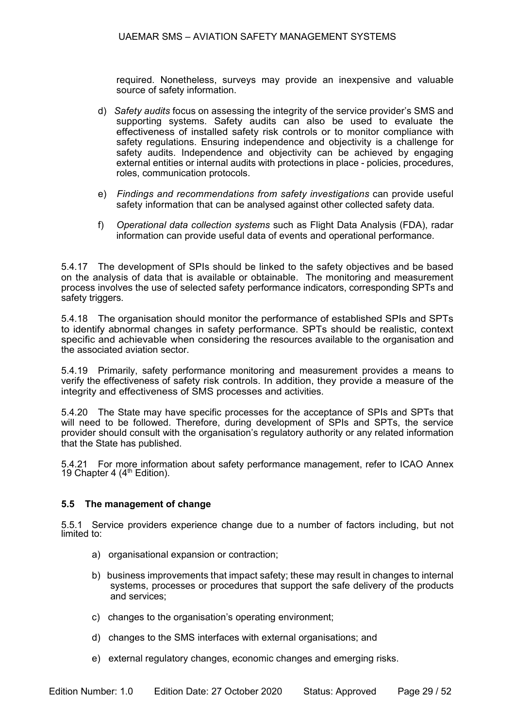required. Nonetheless, surveys may provide an inexpensive and valuable source of safety information.

- d) *Safety audits* focus on assessing the integrity of the service provider's SMS and supporting systems. Safety audits can also be used to evaluate the effectiveness of installed safety risk controls or to monitor compliance with safety regulations. Ensuring independence and objectivity is a challenge for safety audits. Independence and objectivity can be achieved by engaging external entities or internal audits with protections in place - policies, procedures, roles, communication protocols.
- e) *Findings and recommendations from safety investigations* can provide useful safety information that can be analysed against other collected safety data.
- f) *Operational data collection systems* such as Flight Data Analysis (FDA), radar information can provide useful data of events and operational performance.

5.4.17 The development of SPIs should be linked to the safety objectives and be based on the analysis of data that is available or obtainable. The monitoring and measurement process involves the use of selected safety performance indicators, corresponding SPTs and safety triggers.

5.4.18 The organisation should monitor the performance of established SPIs and SPTs to identify abnormal changes in safety performance. SPTs should be realistic, context specific and achievable when considering the resources available to the organisation and the associated aviation sector.

5.4.19 Primarily, safety performance monitoring and measurement provides a means to verify the effectiveness of safety risk controls. In addition, they provide a measure of the integrity and effectiveness of SMS processes and activities.

5.4.20 The State may have specific processes for the acceptance of SPIs and SPTs that will need to be followed. Therefore, during development of SPIs and SPTs, the service provider should consult with the organisation's regulatory authority or any related information that the State has published.

5.4.21 For more information about safety performance management, refer to ICAO Annex 19 Chapter 4 ( $4<sup>th</sup>$  Edition).

#### **5.5 The management of change**

5.5.1 Service providers experience change due to a number of factors including, but not limited to:

- a) organisational expansion or contraction;
- b) business improvements that impact safety; these may result in changes to internal systems, processes or procedures that support the safe delivery of the products and services;
- c) changes to the organisation's operating environment;
- d) changes to the SMS interfaces with external organisations; and
- e) external regulatory changes, economic changes and emerging risks.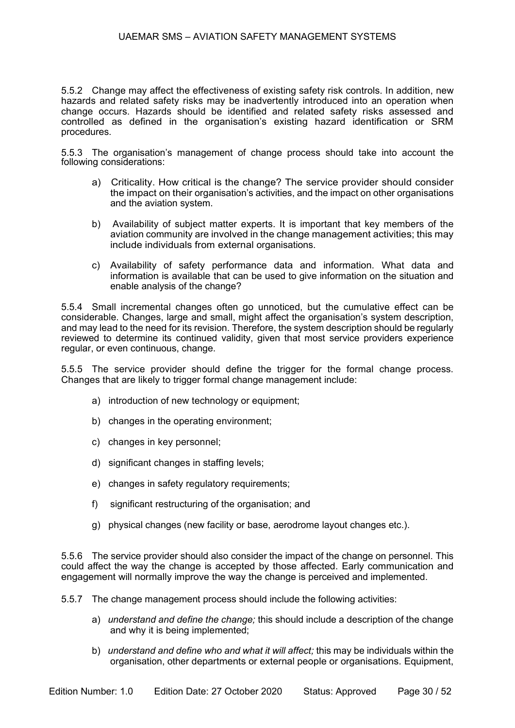5.5.2 Change may affect the effectiveness of existing safety risk controls. In addition, new hazards and related safety risks may be inadvertently introduced into an operation when change occurs. Hazards should be identified and related safety risks assessed and controlled as defined in the organisation's existing hazard identification or SRM procedures.

5.5.3 The organisation's management of change process should take into account the following considerations:

- a) Criticality. How critical is the change? The service provider should consider the impact on their organisation's activities, and the impact on other organisations and the aviation system.
- b) Availability of subject matter experts. It is important that key members of the aviation community are involved in the change management activities; this may include individuals from external organisations.
- c) Availability of safety performance data and information. What data and information is available that can be used to give information on the situation and enable analysis of the change?

5.5.4 Small incremental changes often go unnoticed, but the cumulative effect can be considerable. Changes, large and small, might affect the organisation's system description, and may lead to the need for its revision. Therefore, the system description should be regularly reviewed to determine its continued validity, given that most service providers experience regular, or even continuous, change.

5.5.5 The service provider should define the trigger for the formal change process. Changes that are likely to trigger formal change management include:

- a) introduction of new technology or equipment;
- b) changes in the operating environment;
- c) changes in key personnel;
- d) significant changes in staffing levels;
- e) changes in safety regulatory requirements;
- f) significant restructuring of the organisation; and
- g) physical changes (new facility or base, aerodrome layout changes etc.).

5.5.6 The service provider should also consider the impact of the change on personnel. This could affect the way the change is accepted by those affected. Early communication and engagement will normally improve the way the change is perceived and implemented.

5.5.7 The change management process should include the following activities:

- a) *understand and define the change;* this should include a description of the change and why it is being implemented;
- b) *understand and define who and what it will affect;* this may be individuals within the organisation, other departments or external people or organisations. Equipment,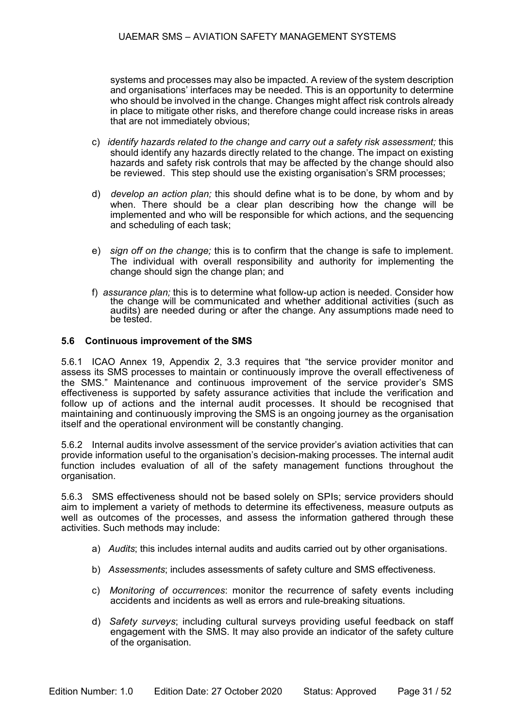systems and processes may also be impacted. A review of the system description and organisations' interfaces may be needed. This is an opportunity to determine who should be involved in the change. Changes might affect risk controls already in place to mitigate other risks, and therefore change could increase risks in areas that are not immediately obvious;

- c) *identify hazards related to the change and carry out a safety risk assessment;* this should identify any hazards directly related to the change. The impact on existing hazards and safety risk controls that may be affected by the change should also be reviewed. This step should use the existing organisation's SRM processes;
- d) *develop an action plan;* this should define what is to be done, by whom and by when. There should be a clear plan describing how the change will be implemented and who will be responsible for which actions, and the sequencing and scheduling of each task;
- e) *sign off on the change;* this is to confirm that the change is safe to implement. The individual with overall responsibility and authority for implementing the change should sign the change plan; and
- f) *assurance plan;* this is to determine what follow-up action is needed. Consider how the change will be communicated and whether additional activities (such as audits) are needed during or after the change. Any assumptions made need to be tested.

#### **5.6 Continuous improvement of the SMS**

5.6.1 ICAO Annex 19, Appendix 2, 3.3 requires that "the service provider monitor and assess its SMS processes to maintain or continuously improve the overall effectiveness of the SMS." Maintenance and continuous improvement of the service provider's SMS effectiveness is supported by safety assurance activities that include the verification and follow up of actions and the internal audit processes. It should be recognised that maintaining and continuously improving the SMS is an ongoing journey as the organisation itself and the operational environment will be constantly changing.

5.6.2 Internal audits involve assessment of the service provider's aviation activities that can provide information useful to the organisation's decision-making processes. The internal audit function includes evaluation of all of the safety management functions throughout the organisation.

5.6.3 SMS effectiveness should not be based solely on SPIs; service providers should aim to implement a variety of methods to determine its effectiveness, measure outputs as well as outcomes of the processes, and assess the information gathered through these activities. Such methods may include:

- a) *Audits*; this includes internal audits and audits carried out by other organisations.
- b) *Assessments*; includes assessments of safety culture and SMS effectiveness.
- c) *Monitoring of occurrences*: monitor the recurrence of safety events including accidents and incidents as well as errors and rule-breaking situations.
- d) *Safety surveys*; including cultural surveys providing useful feedback on staff engagement with the SMS. It may also provide an indicator of the safety culture of the organisation.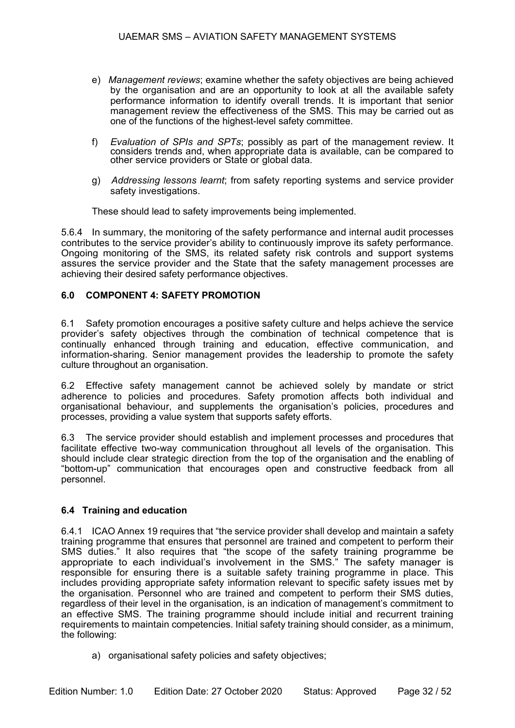- e) *Management reviews*; examine whether the safety objectives are being achieved by the organisation and are an opportunity to look at all the available safety performance information to identify overall trends. It is important that senior management review the effectiveness of the SMS. This may be carried out as one of the functions of the highest-level safety committee.
- f) *Evaluation of SPIs and SPTs*; possibly as part of the management review. It considers trends and, when appropriate data is available, can be compared to other service providers or State or global data.
- g) *Addressing lessons learnt*; from safety reporting systems and service provider safety investigations.

These should lead to safety improvements being implemented.

5.6.4 In summary, the monitoring of the safety performance and internal audit processes contributes to the service provider's ability to continuously improve its safety performance. Ongoing monitoring of the SMS, its related safety risk controls and support systems assures the service provider and the State that the safety management processes are achieving their desired safety performance objectives.

#### <span id="page-31-0"></span>**6.0 COMPONENT 4: SAFETY PROMOTION**

6.1 Safety promotion encourages a positive safety culture and helps achieve the service provider's safety objectives through the combination of technical competence that is continually enhanced through training and education, effective communication, and information-sharing. Senior management provides the leadership to promote the safety culture throughout an organisation.

6.2 Effective safety management cannot be achieved solely by mandate or strict adherence to policies and procedures. Safety promotion affects both individual and organisational behaviour, and supplements the organisation's policies, procedures and processes, providing a value system that supports safety efforts.

6.3 The service provider should establish and implement processes and procedures that facilitate effective two-way communication throughout all levels of the organisation. This should include clear strategic direction from the top of the organisation and the enabling of "bottom-up" communication that encourages open and constructive feedback from all personnel.

#### **6.4 Training and education**

6.4.1 ICAO Annex 19 requires that "the service provider shall develop and maintain a safety training programme that ensures that personnel are trained and competent to perform their SMS duties." It also requires that "the scope of the safety training programme be appropriate to each individual's involvement in the SMS." The safety manager is responsible for ensuring there is a suitable safety training programme in place. This includes providing appropriate safety information relevant to specific safety issues met by the organisation. Personnel who are trained and competent to perform their SMS duties, regardless of their level in the organisation, is an indication of management's commitment to an effective SMS. The training programme should include initial and recurrent training requirements to maintain competencies. Initial safety training should consider, as a minimum, the following:

a) organisational safety policies and safety objectives;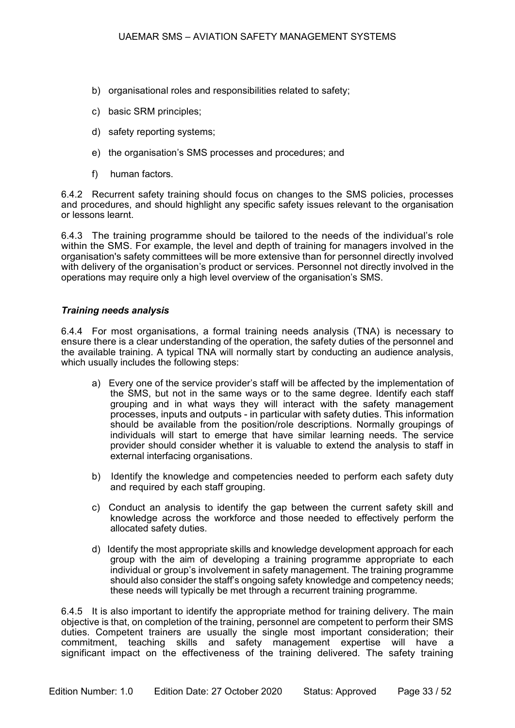- b) organisational roles and responsibilities related to safety;
- c) basic SRM principles;
- d) safety reporting systems;
- e) the organisation's SMS processes and procedures; and
- f) human factors.

6.4.2 Recurrent safety training should focus on changes to the SMS policies, processes and procedures, and should highlight any specific safety issues relevant to the organisation or lessons learnt.

6.4.3 The training programme should be tailored to the needs of the individual's role within the SMS. For example, the level and depth of training for managers involved in the organisation's safety committees will be more extensive than for personnel directly involved with delivery of the organisation's product or services. Personnel not directly involved in the operations may require only a high level overview of the organisation's SMS.

#### *Training needs analysis*

6.4.4 For most organisations, a formal training needs analysis (TNA) is necessary to ensure there is a clear understanding of the operation, the safety duties of the personnel and the available training. A typical TNA will normally start by conducting an audience analysis, which usually includes the following steps:

- a) Every one of the service provider's staff will be affected by the implementation of the SMS, but not in the same ways or to the same degree. Identify each staff grouping and in what ways they will interact with the safety management processes, inputs and outputs - in particular with safety duties. This information should be available from the position/role descriptions. Normally groupings of individuals will start to emerge that have similar learning needs. The service provider should consider whether it is valuable to extend the analysis to staff in external interfacing organisations.
- b) Identify the knowledge and competencies needed to perform each safety duty and required by each staff grouping.
- c) Conduct an analysis to identify the gap between the current safety skill and knowledge across the workforce and those needed to effectively perform the allocated safety duties.
- d) Identify the most appropriate skills and knowledge development approach for each group with the aim of developing a training programme appropriate to each individual or group's involvement in safety management. The training programme should also consider the staff's ongoing safety knowledge and competency needs; these needs will typically be met through a recurrent training programme.

6.4.5 It is also important to identify the appropriate method for training delivery. The main objective is that, on completion of the training, personnel are competent to perform their SMS duties. Competent trainers are usually the single most important consideration; their commitment, teaching skills and safety management expertise will have a significant impact on the effectiveness of the training delivered. The safety training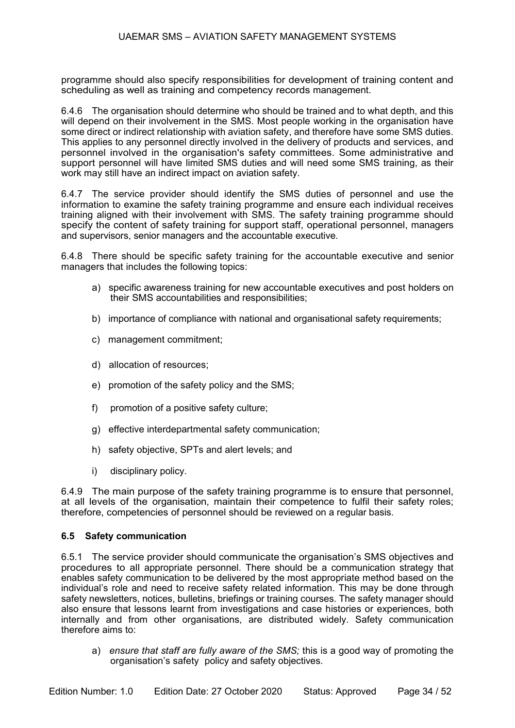programme should also specify responsibilities for development of training content and scheduling as well as training and competency records management.

6.4.6 The organisation should determine who should be trained and to what depth, and this will depend on their involvement in the SMS. Most people working in the organisation have some direct or indirect relationship with aviation safety, and therefore have some SMS duties. This applies to any personnel directly involved in the delivery of products and services, and personnel involved in the organisation's safety committees. Some administrative and support personnel will have limited SMS duties and will need some SMS training, as their work may still have an indirect impact on aviation safety.

6.4.7 The service provider should identify the SMS duties of personnel and use the information to examine the safety training programme and ensure each individual receives training aligned with their involvement with SMS. The safety training programme should specify the content of safety training for support staff, operational personnel, managers and supervisors, senior managers and the accountable executive.

6.4.8 There should be specific safety training for the accountable executive and senior managers that includes the following topics:

- a) specific awareness training for new accountable executives and post holders on their SMS accountabilities and responsibilities;
- b) importance of compliance with national and organisational safety requirements;
- c) management commitment;
- d) allocation of resources;
- e) promotion of the safety policy and the SMS;
- f) promotion of a positive safety culture;
- g) effective interdepartmental safety communication;
- h) safety objective, SPTs and alert levels; and
- i) disciplinary policy.

6.4.9 The main purpose of the safety training programme is to ensure that personnel, at all levels of the organisation, maintain their competence to fulfil their safety roles; therefore, competencies of personnel should be reviewed on a regular basis.

#### **6.5 Safety communication**

6.5.1 The service provider should communicate the organisation's SMS objectives and procedures to all appropriate personnel. There should be a communication strategy that enables safety communication to be delivered by the most appropriate method based on the individual's role and need to receive safety related information. This may be done through safety newsletters, notices, bulletins, briefings or training courses. The safety manager should also ensure that lessons learnt from investigations and case histories or experiences, both internally and from other organisations, are distributed widely. Safety communication therefore aims to:

a) *ensure that staff are fully aware of the SMS;* this is a good way of promoting the organisation's safety policy and safety objectives.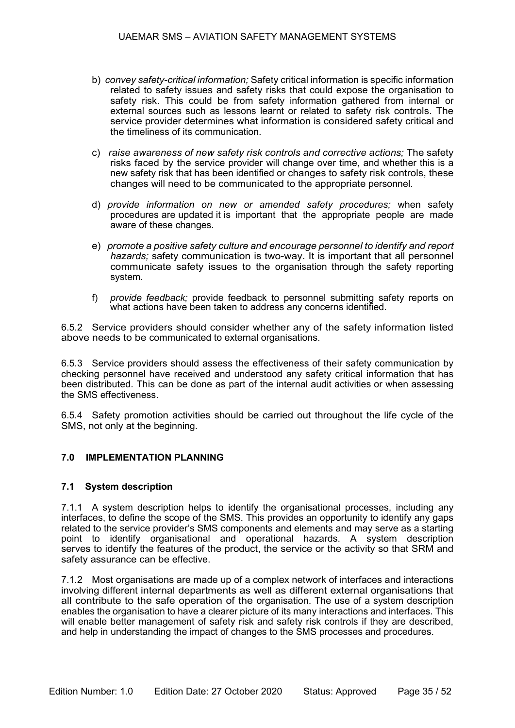- b) *convey safety-critical information;* Safety critical information is specific information related to safety issues and safety risks that could expose the organisation to safety risk. This could be from safety information gathered from internal or external sources such as lessons learnt or related to safety risk controls. The service provider determines what information is considered safety critical and the timeliness of its communication.
- c) *raise awareness of new safety risk controls and corrective actions;* The safety risks faced by the service provider will change over time, and whether this is a new safety risk that has been identified or changes to safety risk controls, these changes will need to be communicated to the appropriate personnel.
- d) *provide information on new or amended safety procedures;* when safety procedures are updated it is important that the appropriate people are made aware of these changes.
- e) *promote a positive safety culture and encourage personnel to identify and report hazards;* safety communication is two-way. It is important that all personnel communicate safety issues to the organisation through the safety reporting system.
- f) *provide feedback;* provide feedback to personnel submitting safety reports on what actions have been taken to address any concerns identified.

6.5.2 Service providers should consider whether any of the safety information listed above needs to be communicated to external organisations.

6.5.3 Service providers should assess the effectiveness of their safety communication by checking personnel have received and understood any safety critical information that has been distributed. This can be done as part of the internal audit activities or when assessing the SMS effectiveness.

6.5.4 Safety promotion activities should be carried out throughout the life cycle of the SMS, not only at the beginning.

#### <span id="page-34-0"></span>**7.0 IMPLEMENTATION PLANNING**

#### **7.1 System description**

7.1.1 A system description helps to identify the organisational processes, including any interfaces, to define the scope of the SMS. This provides an opportunity to identify any gaps related to the service provider's SMS components and elements and may serve as a starting point to identify organisational and operational hazards. A system description serves to identify the features of the product, the service or the activity so that SRM and safety assurance can be effective.

7.1.2 Most organisations are made up of a complex network of interfaces and interactions involving different internal departments as well as different external organisations that all contribute to the safe operation of the organisation. The use of a system description enables the organisation to have a clearer picture of its many interactions and interfaces. This will enable better management of safety risk and safety risk controls if they are described, and help in understanding the impact of changes to the SMS processes and procedures.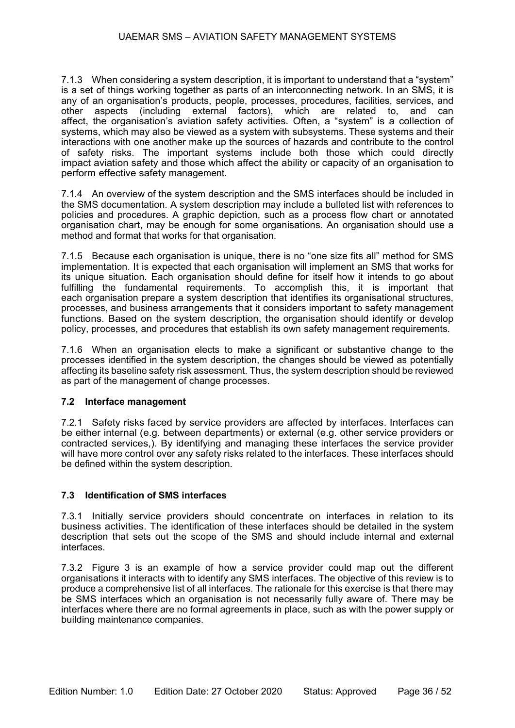7.1.3 When considering a system description, it is important to understand that a "system" is a set of things working together as parts of an interconnecting network. In an SMS, it is any of an organisation's products, people, processes, procedures, facilities, services, and other aspects (including external factors), which are related to, and can affect, the organisation's aviation safety activities. Often, a "system" is a collection of systems, which may also be viewed as a system with subsystems. These systems and their interactions with one another make up the sources of hazards and contribute to the control of safety risks. The important systems include both those which could directly impact aviation safety and those which affect the ability or capacity of an organisation to perform effective safety management.

7.1.4 An overview of the system description and the SMS interfaces should be included in the SMS documentation. A system description may include a bulleted list with references to policies and procedures. A graphic depiction, such as a process flow chart or annotated organisation chart, may be enough for some organisations. An organisation should use a method and format that works for that organisation.

7.1.5 Because each organisation is unique, there is no "one size fits all" method for SMS implementation. It is expected that each organisation will implement an SMS that works for its unique situation. Each organisation should define for itself how it intends to go about fulfilling the fundamental requirements. To accomplish this, it is important that each organisation prepare a system description that identifies its organisational structures, processes, and business arrangements that it considers important to safety management functions. Based on the system description, the organisation should identify or develop policy, processes, and procedures that establish its own safety management requirements.

7.1.6 When an organisation elects to make a significant or substantive change to the processes identified in the system description, the changes should be viewed as potentially affecting its baseline safety risk assessment. Thus, the system description should be reviewed as part of the management of change processes.

#### **7.2 Interface management**

7.2.1 Safety risks faced by service providers are affected by interfaces. Interfaces can be either internal (e.g. between departments) or external (e.g. other service providers or contracted services,). By identifying and managing these interfaces the service provider will have more control over any safety risks related to the interfaces. These interfaces should be defined within the system description.

#### **7.3 Identification of SMS interfaces**

7.3.1 Initially service providers should concentrate on interfaces in relation to its business activities. The identification of these interfaces should be detailed in the system description that sets out the scope of the SMS and should include internal and external interfaces.

7.3.2 [Figure 3](#page-36-0) is an example of how a service provider could map out the different organisations it interacts with to identify any SMS interfaces. The objective of this review is to produce a comprehensive list of all interfaces. The rationale for this exercise is that there may be SMS interfaces which an organisation is not necessarily fully aware of. There may be interfaces where there are no formal agreements in place, such as with the power supply or building maintenance companies.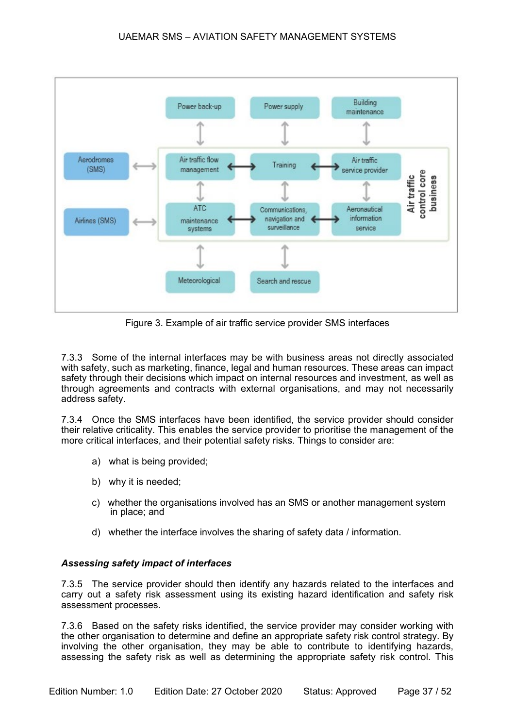

Figure 3. Example of air traffic service provider SMS interfaces

<span id="page-36-0"></span>7.3.3 Some of the internal interfaces may be with business areas not directly associated with safety, such as marketing, finance, legal and human resources. These areas can impact safety through their decisions which impact on internal resources and investment, as well as through agreements and contracts with external organisations, and may not necessarily address safety.

7.3.4 Once the SMS interfaces have been identified, the service provider should consider their relative criticality. This enables the service provider to prioritise the management of the more critical interfaces, and their potential safety risks. Things to consider are:

- a) what is being provided;
- b) why it is needed;
- c) whether the organisations involved has an SMS or another management system in place; and
- d) whether the interface involves the sharing of safety data / information.

#### *Assessing safety impact of interfaces*

7.3.5 The service provider should then identify any hazards related to the interfaces and carry out a safety risk assessment using its existing hazard identification and safety risk assessment processes.

7.3.6 Based on the safety risks identified, the service provider may consider working with the other organisation to determine and define an appropriate safety risk control strategy. By involving the other organisation, they may be able to contribute to identifying hazards, assessing the safety risk as well as determining the appropriate safety risk control. This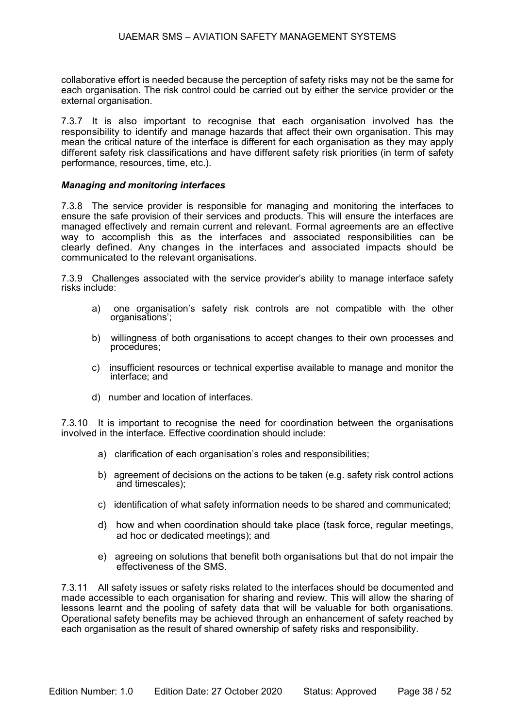collaborative effort is needed because the perception of safety risks may not be the same for each organisation. The risk control could be carried out by either the service provider or the external organisation.

7.3.7 It is also important to recognise that each organisation involved has the responsibility to identify and manage hazards that affect their own organisation. This may mean the critical nature of the interface is different for each organisation as they may apply different safety risk classifications and have different safety risk priorities (in term of safety performance, resources, time, etc.).

#### *Managing and monitoring interfaces*

7.3.8 The service provider is responsible for managing and monitoring the interfaces to ensure the safe provision of their services and products. This will ensure the interfaces are managed effectively and remain current and relevant. Formal agreements are an effective way to accomplish this as the interfaces and associated responsibilities can be clearly defined. Any changes in the interfaces and associated impacts should be communicated to the relevant organisations.

7.3.9 Challenges associated with the service provider's ability to manage interface safety risks include:

- a) one organisation's safety risk controls are not compatible with the other organisations';
- b) willingness of both organisations to accept changes to their own processes and procedures;
- c) insufficient resources or technical expertise available to manage and monitor the interface; and
- d) number and location of interfaces.

7.3.10 It is important to recognise the need for coordination between the organisations involved in the interface. Effective coordination should include:

- a) clarification of each organisation's roles and responsibilities;
- b) agreement of decisions on the actions to be taken (e.g. safety risk control actions and timescales);
- c) identification of what safety information needs to be shared and communicated;
- d) how and when coordination should take place (task force, regular meetings, ad hoc or dedicated meetings); and
- e) agreeing on solutions that benefit both organisations but that do not impair the effectiveness of the SMS.

7.3.11 All safety issues or safety risks related to the interfaces should be documented and made accessible to each organisation for sharing and review. This will allow the sharing of lessons learnt and the pooling of safety data that will be valuable for both organisations. Operational safety benefits may be achieved through an enhancement of safety reached by each organisation as the result of shared ownership of safety risks and responsibility.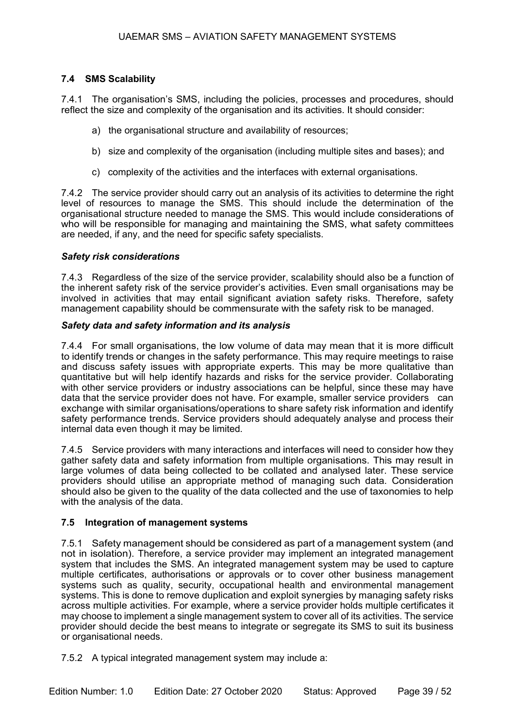#### **7.4 SMS Scalability**

7.4.1 The organisation's SMS, including the policies, processes and procedures, should reflect the size and complexity of the organisation and its activities. It should consider:

- a) the organisational structure and availability of resources;
- b) size and complexity of the organisation (including multiple sites and bases); and
- c) complexity of the activities and the interfaces with external organisations.

7.4.2 The service provider should carry out an analysis of its activities to determine the right level of resources to manage the SMS. This should include the determination of the organisational structure needed to manage the SMS. This would include considerations of who will be responsible for managing and maintaining the SMS, what safety committees are needed, if any, and the need for specific safety specialists.

#### *Safety risk considerations*

7.4.3 Regardless of the size of the service provider, scalability should also be a function of the inherent safety risk of the service provider's activities. Even small organisations may be involved in activities that may entail significant aviation safety risks. Therefore, safety management capability should be commensurate with the safety risk to be managed.

#### *Safety data and safety information and its analysis*

7.4.4 For small organisations, the low volume of data may mean that it is more difficult to identify trends or changes in the safety performance. This may require meetings to raise and discuss safety issues with appropriate experts. This may be more qualitative than quantitative but will help identify hazards and risks for the service provider. Collaborating with other service providers or industry associations can be helpful, since these may have data that the service provider does not have. For example, smaller service providers can exchange with similar organisations/operations to share safety risk information and identify safety performance trends. Service providers should adequately analyse and process their internal data even though it may be limited.

7.4.5 Service providers with many interactions and interfaces will need to consider how they gather safety data and safety information from multiple organisations. This may result in large volumes of data being collected to be collated and analysed later. These service providers should utilise an appropriate method of managing such data. Consideration should also be given to the quality of the data collected and the use of taxonomies to help with the analysis of the data.

#### **7.5 Integration of management systems**

7.5.1 Safety management should be considered as part of a management system (and not in isolation). Therefore, a service provider may implement an integrated management system that includes the SMS. An integrated management system may be used to capture multiple certificates, authorisations or approvals or to cover other business management systems such as quality, security, occupational health and environmental management systems. This is done to remove duplication and exploit synergies by managing safety risks across multiple activities. For example, where a service provider holds multiple certificates it may choose to implement a single management system to cover all of its activities. The service provider should decide the best means to integrate or segregate its SMS to suit its business or organisational needs.

7.5.2 A typical integrated management system may include a: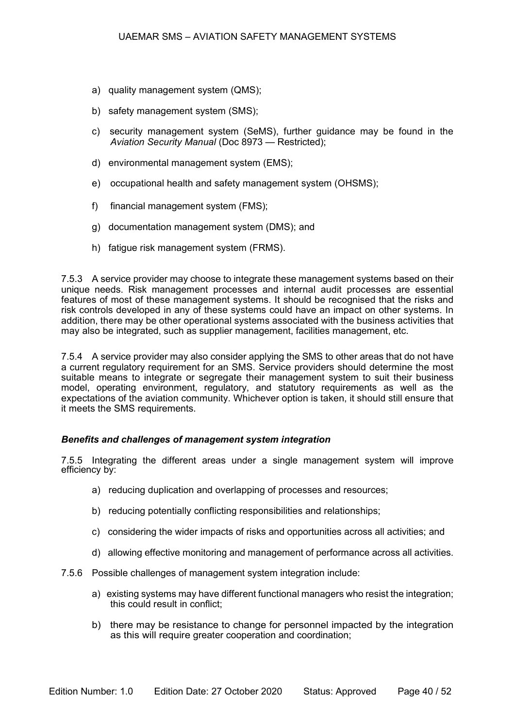- a) quality management system (QMS);
- b) safety management system (SMS);
- c) security management system (SeMS), further guidance may be found in the *Aviation Security Manual* (Doc 8973 — Restricted);
- d) environmental management system (EMS);
- e) occupational health and safety management system (OHSMS);
- f) financial management system (FMS);
- g) documentation management system (DMS); and
- h) fatigue risk management system (FRMS).

7.5.3 A service provider may choose to integrate these management systems based on their unique needs. Risk management processes and internal audit processes are essential features of most of these management systems. It should be recognised that the risks and risk controls developed in any of these systems could have an impact on other systems. In addition, there may be other operational systems associated with the business activities that may also be integrated, such as supplier management, facilities management, etc.

7.5.4 A service provider may also consider applying the SMS to other areas that do not have a current regulatory requirement for an SMS. Service providers should determine the most suitable means to integrate or segregate their management system to suit their business model, operating environment, regulatory, and statutory requirements as well as the expectations of the aviation community. Whichever option is taken, it should still ensure that it meets the SMS requirements.

#### *Benefits and challenges of management system integration*

7.5.5 Integrating the different areas under a single management system will improve efficiency by:

- a) reducing duplication and overlapping of processes and resources;
- b) reducing potentially conflicting responsibilities and relationships;
- c) considering the wider impacts of risks and opportunities across all activities; and
- d) allowing effective monitoring and management of performance across all activities.
- 7.5.6 Possible challenges of management system integration include:
	- a) existing systems may have different functional managers who resist the integration; this could result in conflict;
	- b) there may be resistance to change for personnel impacted by the integration as this will require greater cooperation and coordination;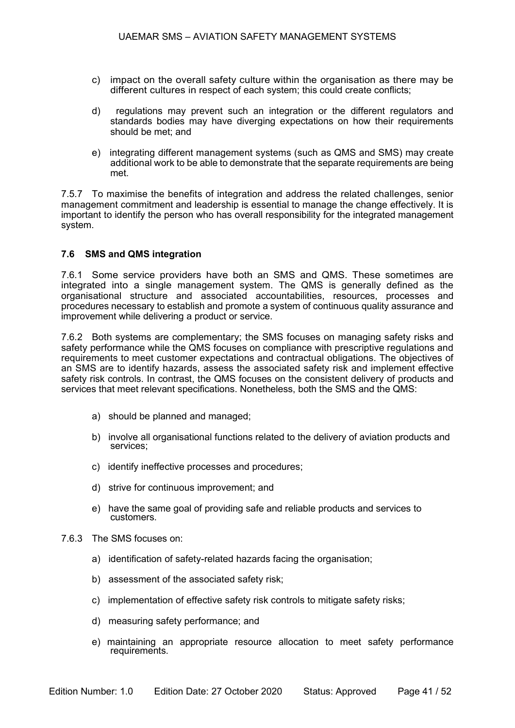- c) impact on the overall safety culture within the organisation as there may be different cultures in respect of each system; this could create conflicts;
- d) regulations may prevent such an integration or the different regulators and standards bodies may have diverging expectations on how their requirements should be met; and
- e) integrating different management systems (such as QMS and SMS) may create additional work to be able to demonstrate that the separate requirements are being met.

7.5.7 To maximise the benefits of integration and address the related challenges, senior management commitment and leadership is essential to manage the change effectively. It is important to identify the person who has overall responsibility for the integrated management system.

#### **7.6 SMS and QMS integration**

7.6.1 Some service providers have both an SMS and QMS. These sometimes are integrated into a single management system. The QMS is generally defined as the organisational structure and associated accountabilities, resources, processes and procedures necessary to establish and promote a system of continuous quality assurance and improvement while delivering a product or service.

7.6.2 Both systems are complementary; the SMS focuses on managing safety risks and safety performance while the QMS focuses on compliance with prescriptive regulations and requirements to meet customer expectations and contractual obligations. The objectives of an SMS are to identify hazards, assess the associated safety risk and implement effective safety risk controls. In contrast, the QMS focuses on the consistent delivery of products and services that meet relevant specifications. Nonetheless, both the SMS and the QMS:

- a) should be planned and managed;
- b) involve all organisational functions related to the delivery of aviation products and services;
- c) identify ineffective processes and procedures;
- d) strive for continuous improvement; and
- e) have the same goal of providing safe and reliable products and services to customers.
- 7.6.3 The SMS focuses on:
	- a) identification of safety-related hazards facing the organisation;
	- b) assessment of the associated safety risk;
	- c) implementation of effective safety risk controls to mitigate safety risks;
	- d) measuring safety performance; and
	- e) maintaining an appropriate resource allocation to meet safety performance requirements.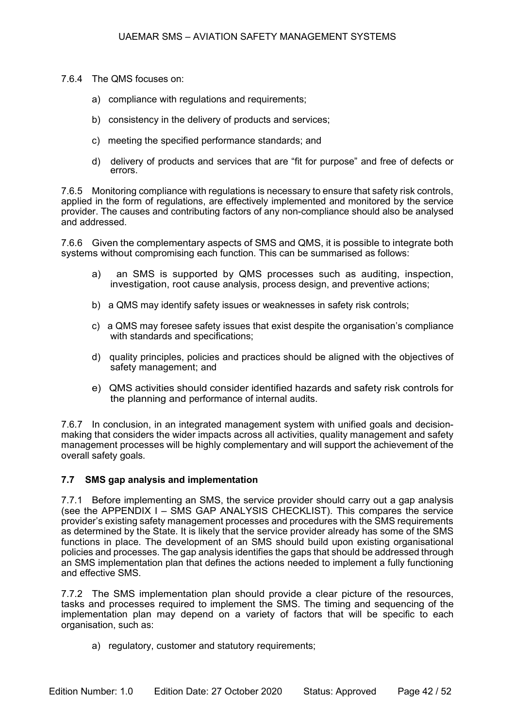- 7.6.4 The QMS focuses on:
	- a) compliance with regulations and requirements;
	- b) consistency in the delivery of products and services;
	- c) meeting the specified performance standards; and
	- d) delivery of products and services that are "fit for purpose" and free of defects or errors.

7.6.5 Monitoring compliance with regulations is necessary to ensure that safety risk controls, applied in the form of regulations, are effectively implemented and monitored by the service provider. The causes and contributing factors of any non-compliance should also be analysed and addressed.

7.6.6 Given the complementary aspects of SMS and QMS, it is possible to integrate both systems without compromising each function. This can be summarised as follows:

- a) an SMS is supported by QMS processes such as auditing, inspection, investigation, root cause analysis, process design, and preventive actions;
- b) a QMS may identify safety issues or weaknesses in safety risk controls;
- c) a QMS may foresee safety issues that exist despite the organisation's compliance with standards and specifications;
- d) quality principles, policies and practices should be aligned with the objectives of safety management; and
- e) QMS activities should consider identified hazards and safety risk controls for the planning and performance of internal audits.

7.6.7 In conclusion, in an integrated management system with unified goals and decisionmaking that considers the wider impacts across all activities, quality management and safety management processes will be highly complementary and will support the achievement of the overall safety goals.

#### **7.7 SMS gap analysis and implementation**

7.7.1 Before implementing an SMS, the service provider should carry out a gap analysis (see the APPENDIX I – [SMS GAP ANALYSIS CHECKLIST\)](#page-43-0). This compares the service provider's existing safety management processes and procedures with the SMS requirements as determined by the State. It is likely that the service provider already has some of the SMS functions in place. The development of an SMS should build upon existing organisational policies and processes. The gap analysis identifies the gaps that should be addressed through an SMS implementation plan that defines the actions needed to implement a fully functioning and effective SMS.

7.7.2 The SMS implementation plan should provide a clear picture of the resources, tasks and processes required to implement the SMS. The timing and sequencing of the implementation plan may depend on a variety of factors that will be specific to each organisation, such as:

a) regulatory, customer and statutory requirements;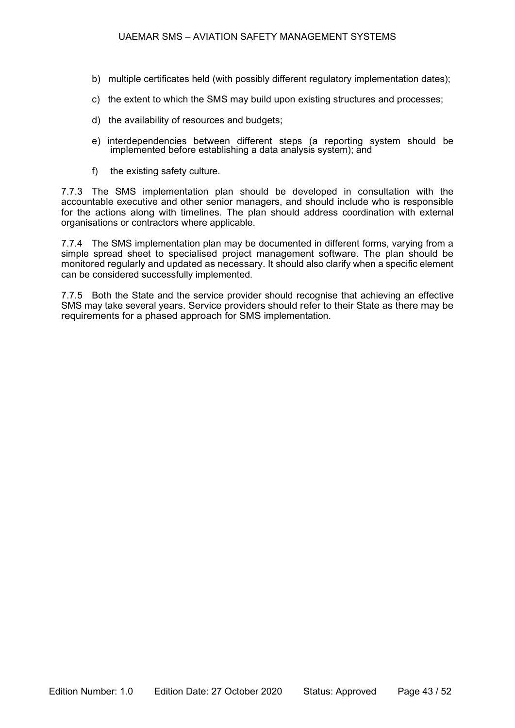- b) multiple certificates held (with possibly different regulatory implementation dates);
- c) the extent to which the SMS may build upon existing structures and processes;
- d) the availability of resources and budgets;
- e) interdependencies between different steps (a reporting system should be implemented before establishing a data analysis system); and
- f) the existing safety culture.

7.7.3 The SMS implementation plan should be developed in consultation with the accountable executive and other senior managers, and should include who is responsible for the actions along with timelines. The plan should address coordination with external organisations or contractors where applicable.

7.7.4 The SMS implementation plan may be documented in different forms, varying from a simple spread sheet to specialised project management software. The plan should be monitored regularly and updated as necessary. It should also clarify when a specific element can be considered successfully implemented.

7.7.5 Both the State and the service provider should recognise that achieving an effective SMS may take several years. Service providers should refer to their State as there may be requirements for a phased approach for SMS implementation.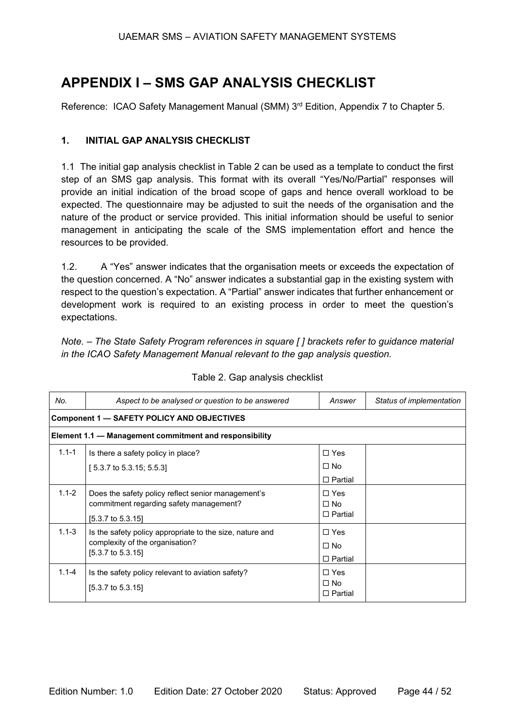# <span id="page-43-0"></span>**APPENDIX I – SMS GAP ANALYSIS CHECKLIST**

Reference: ICAO Safety Management Manual (SMM) 3<sup>rd</sup> Edition, Appendix 7 to Chapter 5.

#### **1. INITIAL GAP ANALYSIS CHECKLIST**

1.1 The initial gap analysis checklist in [Table 2](#page-43-1) can be used as a template to conduct the first step of an SMS gap analysis. This format with its overall "Yes/No/Partial" responses will provide an initial indication of the broad scope of gaps and hence overall workload to be expected. The questionnaire may be adjusted to suit the needs of the organisation and the nature of the product or service provided. This initial information should be useful to senior management in anticipating the scale of the SMS implementation effort and hence the resources to be provided.

1.2. A "Yes" answer indicates that the organisation meets or exceeds the expectation of the question concerned. A "No" answer indicates a substantial gap in the existing system with respect to the question's expectation. A "Partial" answer indicates that further enhancement or development work is required to an existing process in order to meet the question's expectations.

*Note. – The State Safety Program references in square [ ] brackets refer to guidance material in the ICAO Safety Management Manual relevant to the gap analysis question.*

<span id="page-43-1"></span>

| No.       | Aspect to be analysed or question to be answered                                                                            | Answer                                    | Status of implementation |
|-----------|-----------------------------------------------------------------------------------------------------------------------------|-------------------------------------------|--------------------------|
|           | <b>Component 1 - SAFETY POLICY AND OBJECTIVES</b>                                                                           |                                           |                          |
|           | Element 1.1 - Management commitment and responsibility                                                                      |                                           |                          |
| $1.1 - 1$ | Is there a safety policy in place?                                                                                          | $\Box$ Yes                                |                          |
|           | $[5.3.7 \text{ to } 5.3.15; 5.5.3]$                                                                                         | $\Box$ No                                 |                          |
|           |                                                                                                                             | $\Box$ Partial                            |                          |
| $1.1 - 2$ | Does the safety policy reflect senior management's<br>commitment regarding safety management?<br>[5.3.7 to 5.3.15]          | $\Box$ Yes<br>$\Box$ No<br>$\Box$ Partial |                          |
| $1.1 - 3$ | Is the safety policy appropriate to the size, nature and<br>complexity of the organisation?<br>$[5.3.7 \text{ to } 5.3.15]$ | $\Box$ Yes<br>$\Box$ No<br>$\Box$ Partial |                          |
| $1.1 - 4$ | Is the safety policy relevant to aviation safety?<br>[5.3.7 to 5.3.15]                                                      | $\Box$ Yes<br>$\Box$ No<br>$\Box$ Partial |                          |

#### Table 2. Gap analysis checklist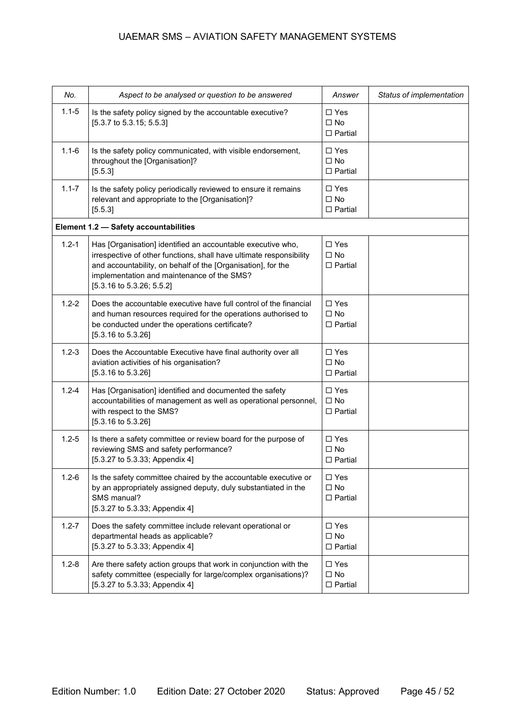| No.       | Aspect to be analysed or question to be answered                                                                                                                                                                                                                                | Answer                                             | Status of implementation |
|-----------|---------------------------------------------------------------------------------------------------------------------------------------------------------------------------------------------------------------------------------------------------------------------------------|----------------------------------------------------|--------------------------|
| $1.1 - 5$ | Is the safety policy signed by the accountable executive?<br>$[5.3.7 \text{ to } 5.3.15; 5.5.3]$                                                                                                                                                                                | $\Box$ Yes<br>$\Box$ No<br>$\Box$ Partial          |                          |
| $1.1 - 6$ | Is the safety policy communicated, with visible endorsement,<br>throughout the [Organisation]?<br>[5.5.3]                                                                                                                                                                       | $\Box$ Yes<br>$\square$ No<br>$\square$ Partial    |                          |
| $1.1 - 7$ | Is the safety policy periodically reviewed to ensure it remains<br>relevant and appropriate to the [Organisation]?<br>[5.5.3]                                                                                                                                                   | $\Box$ Yes<br>$\Box$ No<br>$\Box$ Partial          |                          |
|           | Element 1.2 - Safety accountabilities                                                                                                                                                                                                                                           |                                                    |                          |
| $1.2 - 1$ | Has [Organisation] identified an accountable executive who,<br>irrespective of other functions, shall have ultimate responsibility<br>and accountability, on behalf of the [Organisation], for the<br>implementation and maintenance of the SMS?<br>$[5.3.16$ to 5.3.26; 5.5.2] | $\square$ Yes<br>$\Box$ No<br>$\Box$ Partial       |                          |
| $1.2 - 2$ | Does the accountable executive have full control of the financial<br>and human resources required for the operations authorised to<br>be conducted under the operations certificate?<br>$[5.3.16 \text{ to } 5.3.26]$                                                           | $\Box$ Yes<br>$\Box$ No<br>$\Box$ Partial          |                          |
| $1.2 - 3$ | Does the Accountable Executive have final authority over all<br>aviation activities of his organisation?<br>[5.3.16 to 5.3.26]                                                                                                                                                  | $\Box$ Yes<br>$\square$ No<br>$\square$ Partial    |                          |
| $1.2 - 4$ | Has [Organisation] identified and documented the safety<br>accountabilities of management as well as operational personnel,<br>with respect to the SMS?<br>$[5.3.16 \text{ to } 5.3.26]$                                                                                        | $\Box$ Yes<br>$\Box$ No<br>$\Box$ Partial          |                          |
| $1.2 - 5$ | Is there a safety committee or review board for the purpose of<br>reviewing SMS and safety performance?<br>[5.3.27 to 5.3.33; Appendix 4]                                                                                                                                       | $\Box$ Yes<br>$\Box$ No<br>$\Box$ Partial          |                          |
| $1.2 - 6$ | Is the safety committee chaired by the accountable executive or<br>by an appropriately assigned deputy, duly substantiated in the<br>SMS manual?<br>[5.3.27 to 5.3.33; Appendix 4]                                                                                              | $\square$ Yes<br>$\square$ No<br>$\square$ Partial |                          |
| $1.2 - 7$ | Does the safety committee include relevant operational or<br>departmental heads as applicable?<br>[5.3.27 to 5.3.33; Appendix 4]                                                                                                                                                | $\Box$ Yes<br>$\square$ No<br>$\Box$ Partial       |                          |
| $1.2 - 8$ | Are there safety action groups that work in conjunction with the<br>safety committee (especially for large/complex organisations)?<br>[5.3.27 to 5.3.33; Appendix 4]                                                                                                            | $\square$ Yes<br>$\square$ No<br>$\Box$ Partial    |                          |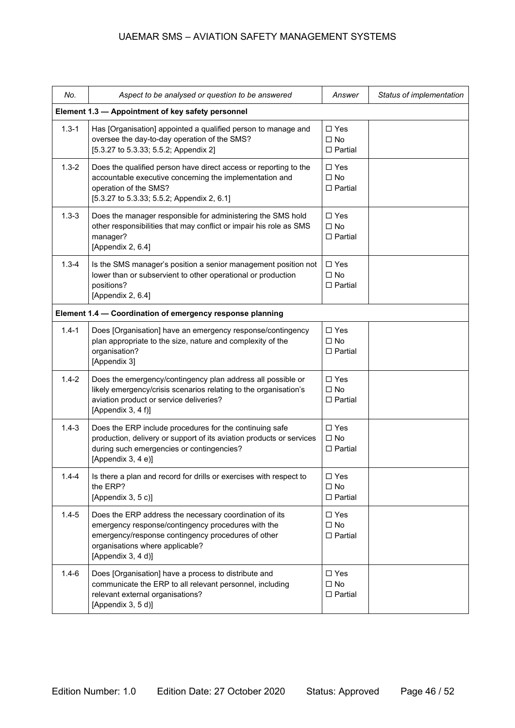| No.                                               | Aspect to be analysed or question to be answered                                                                                                                                                                            | Answer                                          | Status of implementation |  |  |
|---------------------------------------------------|-----------------------------------------------------------------------------------------------------------------------------------------------------------------------------------------------------------------------------|-------------------------------------------------|--------------------------|--|--|
| Element 1.3 - Appointment of key safety personnel |                                                                                                                                                                                                                             |                                                 |                          |  |  |
| $1.3 - 1$                                         | Has [Organisation] appointed a qualified person to manage and<br>oversee the day-to-day operation of the SMS?<br>[5.3.27 to 5.3.33; 5.5.2; Appendix 2]                                                                      | $\Box$ Yes<br>$\square$ No<br>$\Box$ Partial    |                          |  |  |
| $1.3 - 2$                                         | Does the qualified person have direct access or reporting to the<br>accountable executive concerning the implementation and<br>operation of the SMS?<br>[5.3.27 to 5.3.33; 5.5.2; Appendix 2, 6.1]                          | $\Box$ Yes<br>$\square$ No<br>$\Box$ Partial    |                          |  |  |
| $1.3 - 3$                                         | Does the manager responsible for administering the SMS hold<br>other responsibilities that may conflict or impair his role as SMS<br>manager?<br>[Appendix 2, 6.4]                                                          | $\Box$ Yes<br>$\Box$ No<br>$\Box$ Partial       |                          |  |  |
| $1.3 - 4$                                         | Is the SMS manager's position a senior management position not<br>lower than or subservient to other operational or production<br>positions?<br>[Appendix 2, 6.4]                                                           | $\Box$ Yes<br>$\square$ No<br>$\Box$ Partial    |                          |  |  |
|                                                   | Element 1.4 - Coordination of emergency response planning                                                                                                                                                                   |                                                 |                          |  |  |
| $1.4 - 1$                                         | Does [Organisation] have an emergency response/contingency<br>plan appropriate to the size, nature and complexity of the<br>organisation?<br>[Appendix 3]                                                                   | $\Box$ Yes<br>$\square$ No<br>$\Box$ Partial    |                          |  |  |
| $1.4 - 2$                                         | Does the emergency/contingency plan address all possible or<br>likely emergency/crisis scenarios relating to the organisation's<br>aviation product or service deliveries?<br>[Appendix $3, 4f$ ]                           | $\Box$ Yes<br>$\Box$ No<br>$\Box$ Partial       |                          |  |  |
| $1.4 - 3$                                         | Does the ERP include procedures for the continuing safe<br>production, delivery or support of its aviation products or services<br>during such emergencies or contingencies?<br>[Appendix $3, 4e$ ]                         | $\Box$ Yes<br>$\square$ No<br>$\Box$ Partial    |                          |  |  |
| $1.4 - 4$                                         | Is there a plan and record for drills or exercises with respect to<br>the ERP?<br>[Appendix 3, 5 c)]                                                                                                                        | $\square$ Yes<br>$\square$ No<br>$\Box$ Partial |                          |  |  |
| $1.4 - 5$                                         | Does the ERP address the necessary coordination of its<br>emergency response/contingency procedures with the<br>emergency/response contingency procedures of other<br>organisations where applicable?<br>[Appendix 3, 4 d)] | $\Box$ Yes<br>$\square$ No<br>$\Box$ Partial    |                          |  |  |
| $1.4 - 6$                                         | Does [Organisation] have a process to distribute and<br>communicate the ERP to all relevant personnel, including<br>relevant external organisations?<br>[Appendix 3, 5 d)]                                                  | $\Box$ Yes<br>$\square$ No<br>$\Box$ Partial    |                          |  |  |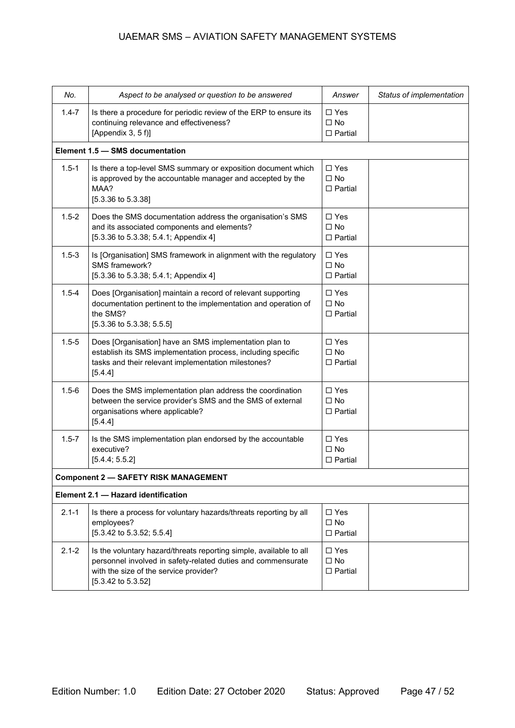| No.       | Aspect to be analysed or question to be answered                                                                                                                                                   | Answer                                          | Status of implementation |
|-----------|----------------------------------------------------------------------------------------------------------------------------------------------------------------------------------------------------|-------------------------------------------------|--------------------------|
| $1.4 - 7$ | Is there a procedure for periodic review of the ERP to ensure its<br>continuing relevance and effectiveness?<br>[Appendix $3, 5f$ ]                                                                | $\Box$ Yes<br>$\Box$ No<br>$\Box$ Partial       |                          |
|           | Element 1.5 - SMS documentation                                                                                                                                                                    |                                                 |                          |
| $1.5 - 1$ | Is there a top-level SMS summary or exposition document which<br>is approved by the accountable manager and accepted by the<br>MAA?<br>$[5.3.36 \text{ to } 5.3.38]$                               | $\Box$ Yes<br>$\Box$ No<br>$\Box$ Partial       |                          |
| $1.5 - 2$ | Does the SMS documentation address the organisation's SMS<br>and its associated components and elements?<br>[5.3.36 to 5.3.38; 5.4.1; Appendix 4]                                                  | $\Box$ Yes<br>$\Box$ No<br>$\Box$ Partial       |                          |
| $1.5 - 3$ | Is [Organisation] SMS framework in alignment with the regulatory<br>SMS framework?<br>[5.3.36 to 5.3.38; 5.4.1; Appendix 4]                                                                        | $\Box$ Yes<br>$\Box$ No<br>$\Box$ Partial       |                          |
| $1.5 - 4$ | Does [Organisation] maintain a record of relevant supporting<br>documentation pertinent to the implementation and operation of<br>the SMS?<br>[5.3.36 to 5.3.38; 5.5.5]                            | $\Box$ Yes<br>$\Box$ No<br>$\Box$ Partial       |                          |
| $1.5 - 5$ | Does [Organisation] have an SMS implementation plan to<br>establish its SMS implementation process, including specific<br>tasks and their relevant implementation milestones?<br>[5.4.4]           | $\Box$ Yes<br>$\square$ No<br>$\Box$ Partial    |                          |
| $1.5 - 6$ | Does the SMS implementation plan address the coordination<br>between the service provider's SMS and the SMS of external<br>organisations where applicable?<br>[5.4.4]                              | $\Box$ Yes<br>$\Box$ No<br>$\Box$ Partial       |                          |
| $1.5 - 7$ | Is the SMS implementation plan endorsed by the accountable<br>executive?<br>[5.4.4; 5.5.2]                                                                                                         | $\Box$ Yes<br>$\Box$ No<br>$\Box$ Partial       |                          |
|           | <b>Component 2 - SAFETY RISK MANAGEMENT</b>                                                                                                                                                        |                                                 |                          |
|           | Element 2.1 - Hazard identification                                                                                                                                                                |                                                 |                          |
| $2.1 - 1$ | Is there a process for voluntary hazards/threats reporting by all<br>employees?<br>[5.3.42 to 5.3.52; 5.5.4]                                                                                       | $\square$ Yes<br>$\square$ No<br>$\Box$ Partial |                          |
| $2.1 - 2$ | Is the voluntary hazard/threats reporting simple, available to all<br>personnel involved in safety-related duties and commensurate<br>with the size of the service provider?<br>[5.3.42 to 5.3.52] | $\Box$ Yes<br>$\Box$ No<br>$\Box$ Partial       |                          |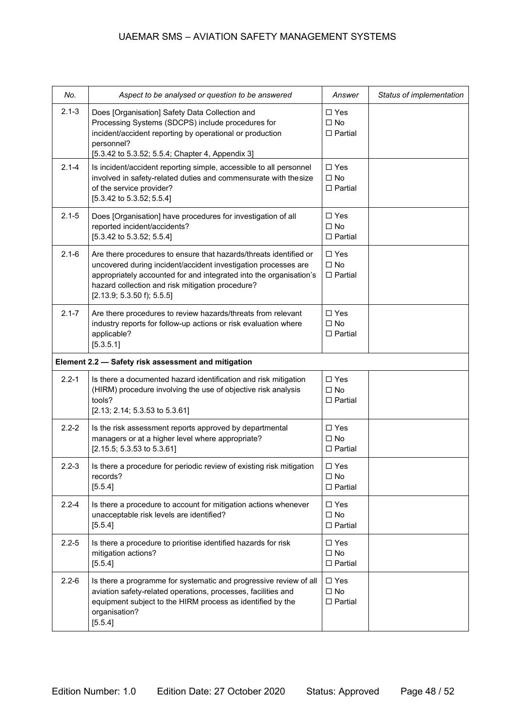| No.       | Aspect to be analysed or question to be answered                                                                                                                                                                                                                                            | Answer                                          | Status of implementation |
|-----------|---------------------------------------------------------------------------------------------------------------------------------------------------------------------------------------------------------------------------------------------------------------------------------------------|-------------------------------------------------|--------------------------|
| $2.1 - 3$ | Does [Organisation] Safety Data Collection and<br>Processing Systems (SDCPS) include procedures for<br>incident/accident reporting by operational or production<br>personnel?<br>[5.3.42 to 5.3.52; 5.5.4; Chapter 4, Appendix 3]                                                           | $\square$ Yes<br>$\square$ No<br>$\Box$ Partial |                          |
| $2.1 - 4$ | Is incident/accident reporting simple, accessible to all personnel<br>involved in safety-related duties and commensurate with thesize<br>of the service provider?<br>$[5.3.42 \text{ to } 5.3.52; 5.5.4]$                                                                                   | $\Box$ Yes<br>$\square$ No<br>$\Box$ Partial    |                          |
| $2.1 - 5$ | Does [Organisation] have procedures for investigation of all<br>reported incident/accidents?<br>[5.3.42 to 5.3.52; 5.5.4]                                                                                                                                                                   | $\Box$ Yes<br>$\square$ No<br>$\Box$ Partial    |                          |
| $2.1 - 6$ | Are there procedures to ensure that hazards/threats identified or<br>uncovered during incident/accident investigation processes are<br>appropriately accounted for and integrated into the organisation's<br>hazard collection and risk mitigation procedure?<br>[2.13.9; 5.3.50 f); 5.5.5] | $\Box$ Yes<br>$\square$ No<br>$\square$ Partial |                          |
| $2.1 - 7$ | Are there procedures to review hazards/threats from relevant<br>industry reports for follow-up actions or risk evaluation where<br>applicable?<br>[5.3.5.1]                                                                                                                                 | $\Box$ Yes<br>$\square$ No<br>$\Box$ Partial    |                          |
|           | Element 2.2 - Safety risk assessment and mitigation                                                                                                                                                                                                                                         |                                                 |                          |
| $2.2 - 1$ | Is there a documented hazard identification and risk mitigation<br>(HIRM) procedure involving the use of objective risk analysis<br>tools?<br>$[2.13; 2.14; 5.3.53$ to 5.3.61]                                                                                                              | $\Box$ Yes<br>$\square$ No<br>$\Box$ Partial    |                          |
| $2.2 - 2$ | Is the risk assessment reports approved by departmental<br>managers or at a higher level where appropriate?<br>$[2.15.5; 5.3.53$ to 5.3.61]                                                                                                                                                 | $\square$ Yes<br>$\Box$ No<br>$\Box$ Partial    |                          |
| $2.2 - 3$ | Is there a procedure for periodic review of existing risk mitigation<br>records?<br>[5.5.4]                                                                                                                                                                                                 | $\Box$ Yes<br>$\Box$ No<br>$\Box$ Partial       |                          |
| $2.2 - 4$ | Is there a procedure to account for mitigation actions whenever<br>unacceptable risk levels are identified?<br>[5.5.4]                                                                                                                                                                      | $\Box$ Yes<br>$\square$ No<br>$\Box$ Partial    |                          |
| $2.2 - 5$ | Is there a procedure to prioritise identified hazards for risk<br>mitigation actions?<br>[5.5.4]                                                                                                                                                                                            | $\Box$ Yes<br>$\square$ No<br>$\Box$ Partial    |                          |
| $2.2 - 6$ | Is there a programme for systematic and progressive review of all<br>aviation safety-related operations, processes, facilities and<br>equipment subject to the HIRM process as identified by the<br>organisation?<br>[5.5.4]                                                                | $\square$ Yes<br>$\Box$ No<br>$\square$ Partial |                          |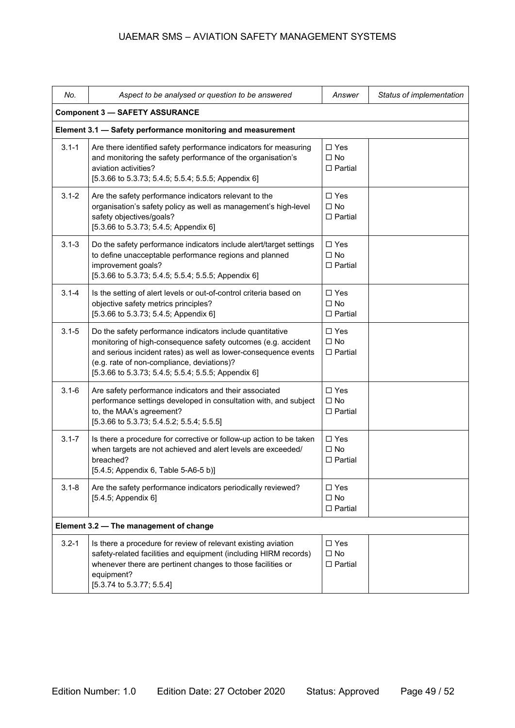| No.       | Aspect to be analysed or question to be answered                                                                                                                                                                                                                                                   | Answer                                             | Status of implementation |  |  |
|-----------|----------------------------------------------------------------------------------------------------------------------------------------------------------------------------------------------------------------------------------------------------------------------------------------------------|----------------------------------------------------|--------------------------|--|--|
|           | <b>Component 3 - SAFETY ASSURANCE</b>                                                                                                                                                                                                                                                              |                                                    |                          |  |  |
|           | Element 3.1 - Safety performance monitoring and measurement                                                                                                                                                                                                                                        |                                                    |                          |  |  |
| $3.1 - 1$ | Are there identified safety performance indicators for measuring<br>and monitoring the safety performance of the organisation's<br>aviation activities?<br>[5.3.66 to 5.3.73; 5.4.5; 5.5.4; 5.5.5; Appendix 6]                                                                                     | $\Box$ Yes<br>$\square$ No<br>$\Box$ Partial       |                          |  |  |
| $3.1 - 2$ | Are the safety performance indicators relevant to the<br>organisation's safety policy as well as management's high-level<br>safety objectives/goals?<br>[5.3.66 to 5.3.73; 5.4.5; Appendix 6]                                                                                                      | $\Box$ Yes<br>$\square$ No<br>$\Box$ Partial       |                          |  |  |
| $3.1 - 3$ | Do the safety performance indicators include alert/target settings<br>to define unacceptable performance regions and planned<br>improvement goals?<br>[5.3.66 to 5.3.73; 5.4.5; 5.5.4; 5.5.5; Appendix 6]                                                                                          | $\Box$ Yes<br>$\square$ No<br>$\Box$ Partial       |                          |  |  |
| $3.1 - 4$ | Is the setting of alert levels or out-of-control criteria based on<br>objective safety metrics principles?<br>[5.3.66 to 5.3.73; 5.4.5; Appendix 6]                                                                                                                                                | $\Box$ Yes<br>$\Box$ No<br>$\Box$ Partial          |                          |  |  |
| $3.1 - 5$ | Do the safety performance indicators include quantitative<br>monitoring of high-consequence safety outcomes (e.g. accident<br>and serious incident rates) as well as lower-consequence events<br>(e.g. rate of non-compliance, deviations)?<br>[5.3.66 to 5.3.73; 5.4.5; 5.5.4; 5.5.5; Appendix 6] | $\Box$ Yes<br>$\square$ No<br>$\Box$ Partial       |                          |  |  |
| $3.1 - 6$ | Are safety performance indicators and their associated<br>performance settings developed in consultation with, and subject<br>to, the MAA's agreement?<br>$[5.3.66$ to 5.3.73; 5.4.5.2; 5.5.4; 5.5.5]                                                                                              | $\Box$ Yes<br>$\Box$ No<br>$\Box$ Partial          |                          |  |  |
| $3.1 - 7$ | Is there a procedure for corrective or follow-up action to be taken<br>when targets are not achieved and alert levels are exceeded/<br>breached?<br>[5.4.5; Appendix 6, Table 5-A6-5 b)]                                                                                                           | $\Box$ Yes<br>$\square$ No<br>$\Box$ Partial       |                          |  |  |
| $3.1 - 8$ | Are the safety performance indicators periodically reviewed?<br>[5.4.5; Appendix 6]                                                                                                                                                                                                                | $\square$ Yes<br>$\square$ No<br>$\square$ Partial |                          |  |  |
|           | Element 3.2 - The management of change                                                                                                                                                                                                                                                             |                                                    |                          |  |  |
| $3.2 - 1$ | Is there a procedure for review of relevant existing aviation<br>safety-related facilities and equipment (including HIRM records)<br>whenever there are pertinent changes to those facilities or<br>equipment?<br>[5.3.74 to 5.3.77; 5.5.4]                                                        | $\square$ Yes<br>$\square$ No<br>$\square$ Partial |                          |  |  |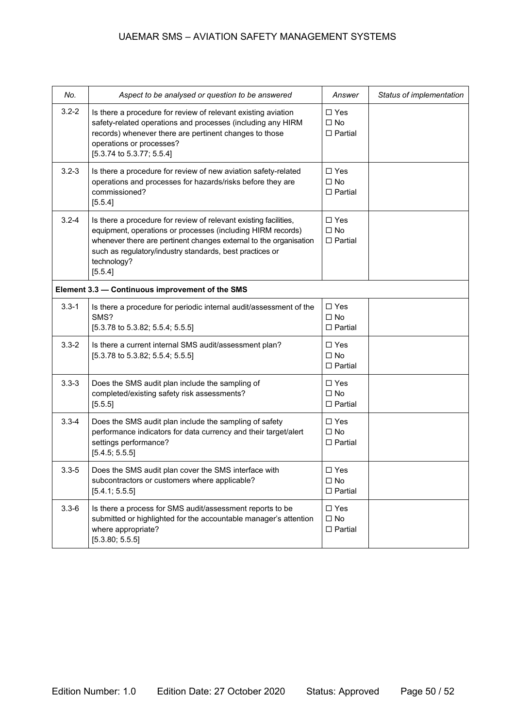| No.       | Aspect to be analysed or question to be answered                                                                                                                                                                                                                                           | Answer                                             | Status of implementation |
|-----------|--------------------------------------------------------------------------------------------------------------------------------------------------------------------------------------------------------------------------------------------------------------------------------------------|----------------------------------------------------|--------------------------|
| $3.2 - 2$ | Is there a procedure for review of relevant existing aviation<br>safety-related operations and processes (including any HIRM<br>records) whenever there are pertinent changes to those<br>operations or processes?<br>[5.3.74 to 5.3.77; 5.5.4]                                            | $\square$ Yes<br>$\square$ No<br>$\Box$ Partial    |                          |
| $3.2 - 3$ | Is there a procedure for review of new aviation safety-related<br>operations and processes for hazards/risks before they are<br>commissioned?<br>[5.5.4]                                                                                                                                   | $\Box$ Yes<br>$\square$ No<br>$\Box$ Partial       |                          |
| $3.2 - 4$ | Is there a procedure for review of relevant existing facilities,<br>equipment, operations or processes (including HIRM records)<br>whenever there are pertinent changes external to the organisation<br>such as regulatory/industry standards, best practices or<br>technology?<br>[5.5.4] | $\Box$ Yes<br>$\square$ No<br>$\square$ Partial    |                          |
|           | Element 3.3 - Continuous improvement of the SMS                                                                                                                                                                                                                                            |                                                    |                          |
| $3.3 - 1$ | Is there a procedure for periodic internal audit/assessment of the<br>SMS?<br>[5.3.78 to 5.3.82; 5.5.4; 5.5.5]                                                                                                                                                                             | $\square$ Yes<br>$\square$ No<br>$\square$ Partial |                          |
| $3.3 - 2$ | Is there a current internal SMS audit/assessment plan?<br>$[5.3.78$ to 5.3.82; 5.5.4; 5.5.5]                                                                                                                                                                                               | $\Box$ Yes<br>$\Box$ No<br>$\Box$ Partial          |                          |
| $3.3 - 3$ | Does the SMS audit plan include the sampling of<br>completed/existing safety risk assessments?<br>[5.5.5]                                                                                                                                                                                  | $\square$ Yes<br>$\square$ No<br>$\Box$ Partial    |                          |
| $3.3 - 4$ | Does the SMS audit plan include the sampling of safety<br>performance indicators for data currency and their target/alert<br>settings performance?<br>[5.4.5; 5.5.5]                                                                                                                       | $\Box$ Yes<br>$\square$ No<br>$\Box$ Partial       |                          |
| $3.3 - 5$ | Does the SMS audit plan cover the SMS interface with<br>subcontractors or customers where applicable?<br>[5.4.1; 5.5.5]                                                                                                                                                                    | $\square$ Yes<br>$\square$ No<br>$\square$ Partial |                          |
| $3.3 - 6$ | Is there a process for SMS audit/assessment reports to be<br>submitted or highlighted for the accountable manager's attention<br>where appropriate?<br>[5.3.80; 5.5.5]                                                                                                                     | $\Box$ Yes<br>$\Box$ No<br>$\square$ Partial       |                          |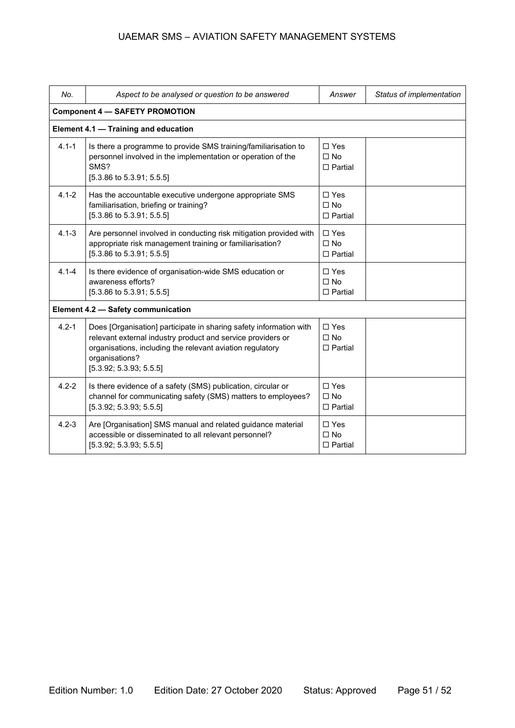| No.                                   | Aspect to be analysed or question to be answered                                                                                                                                                                                            | Answer                                       | Status of implementation |  |  |  |  |
|---------------------------------------|---------------------------------------------------------------------------------------------------------------------------------------------------------------------------------------------------------------------------------------------|----------------------------------------------|--------------------------|--|--|--|--|
| <b>Component 4 - SAFETY PROMOTION</b> |                                                                                                                                                                                                                                             |                                              |                          |  |  |  |  |
| Element 4.1 - Training and education  |                                                                                                                                                                                                                                             |                                              |                          |  |  |  |  |
| $4.1 - 1$                             | Is there a programme to provide SMS training/familiarisation to<br>personnel involved in the implementation or operation of the<br>SMS?<br>[5.3.86 to 5.3.91; 5.5.5]                                                                        | $\Box$ Yes<br>$\Box$ No<br>$\Box$ Partial    |                          |  |  |  |  |
| $4.1 - 2$                             | Has the accountable executive undergone appropriate SMS<br>familiarisation, briefing or training?<br>$[5.3.86$ to 5.3.91; 5.5.5]                                                                                                            | $\Box$ Yes<br>$\Box$ No<br>$\Box$ Partial    |                          |  |  |  |  |
| $4.1 - 3$                             | Are personnel involved in conducting risk mitigation provided with<br>appropriate risk management training or familiarisation?<br>[5.3.86 to 5.3.91; 5.5.5]                                                                                 | $\Box$ Yes<br>$\Box$ No<br>$\Box$ Partial    |                          |  |  |  |  |
| $4.1 - 4$                             | Is there evidence of organisation-wide SMS education or<br>awareness efforts?<br>[5.3.86 to 5.3.91; 5.5.5]                                                                                                                                  | $\Box$ Yes<br>$\Box$ No<br>$\Box$ Partial    |                          |  |  |  |  |
| Element 4.2 - Safety communication    |                                                                                                                                                                                                                                             |                                              |                          |  |  |  |  |
| $4.2 - 1$                             | Does [Organisation] participate in sharing safety information with<br>relevant external industry product and service providers or<br>organisations, including the relevant aviation regulatory<br>organisations?<br>[5.3.92; 5.3.93; 5.5.5] | $\Box$ Yes<br>$\Box$ No<br>$\Box$ Partial    |                          |  |  |  |  |
| $4.2 - 2$                             | Is there evidence of a safety (SMS) publication, circular or<br>channel for communicating safety (SMS) matters to employees?<br>[5.3.92; 5.3.93; 5.5.5]                                                                                     | $\square$ Yes<br>$\Box$ No<br>$\Box$ Partial |                          |  |  |  |  |
| $4.2 - 3$                             | Are [Organisation] SMS manual and related guidance material<br>accessible or disseminated to all relevant personnel?<br>[5.3.92; 5.3.93; 5.5.5]                                                                                             | $\Box$ Yes<br>$\Box$ No<br>$\Box$ Partial    |                          |  |  |  |  |